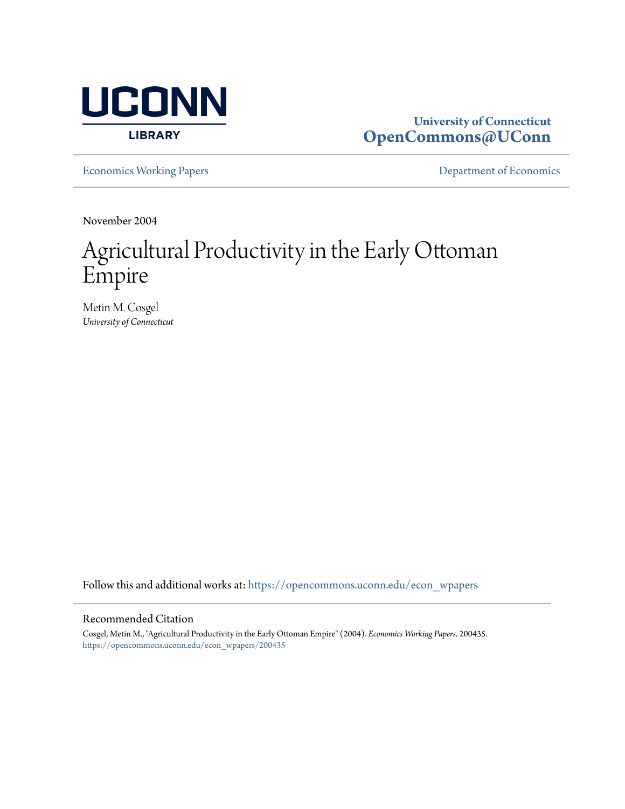

# **University of Connecticut [OpenCommons@UConn](https://opencommons.uconn.edu?utm_source=opencommons.uconn.edu%2Fecon_wpapers%2F200435&utm_medium=PDF&utm_campaign=PDFCoverPages)**

[Economics Working Papers](https://opencommons.uconn.edu/econ_wpapers?utm_source=opencommons.uconn.edu%2Fecon_wpapers%2F200435&utm_medium=PDF&utm_campaign=PDFCoverPages) **[Department of Economics](https://opencommons.uconn.edu/econ?utm_source=opencommons.uconn.edu%2Fecon_wpapers%2F200435&utm_medium=PDF&utm_campaign=PDFCoverPages)** 

November 2004

# Agricultural Productivity in the Early Ottoman Empire

Metin M. Cosgel *University of Connecticut*

Follow this and additional works at: [https://opencommons.uconn.edu/econ\\_wpapers](https://opencommons.uconn.edu/econ_wpapers?utm_source=opencommons.uconn.edu%2Fecon_wpapers%2F200435&utm_medium=PDF&utm_campaign=PDFCoverPages)

#### Recommended Citation

Cosgel, Metin M., "Agricultural Productivity in the Early Ottoman Empire" (2004). *Economics Working Papers*. 200435. [https://opencommons.uconn.edu/econ\\_wpapers/200435](https://opencommons.uconn.edu/econ_wpapers/200435?utm_source=opencommons.uconn.edu%2Fecon_wpapers%2F200435&utm_medium=PDF&utm_campaign=PDFCoverPages)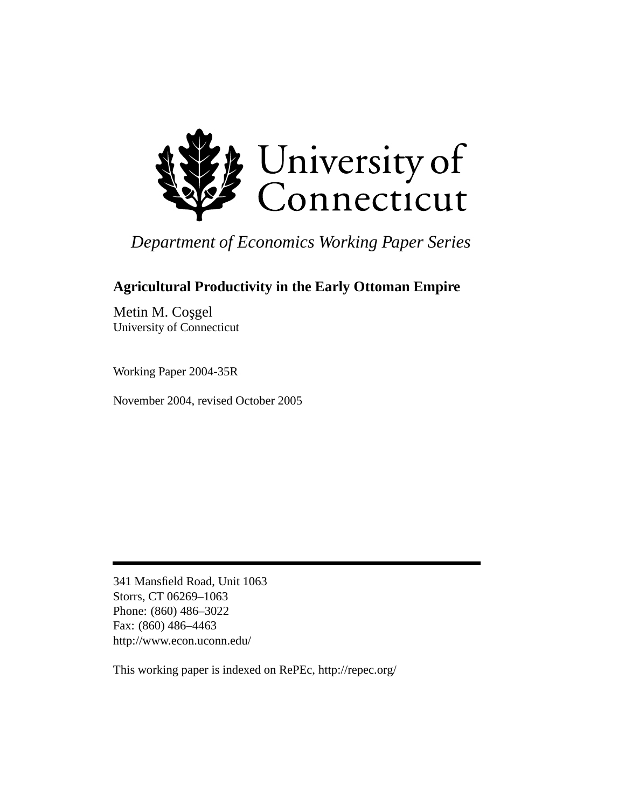

# *Department of Economics Working Paper Series*

# **Agricultural Productivity in the Early Ottoman Empire**

Metin M. Cosgel University of Connecticut

Working Paper 2004-35R

November 2004, revised October 2005

341 Mansfield Road, Unit 1063 Storrs, CT 06269–1063 Phone: (860) 486–3022 Fax: (860) 486–4463 http://www.econ.uconn.edu/

This working paper is indexed on RePEc, http://repec.org/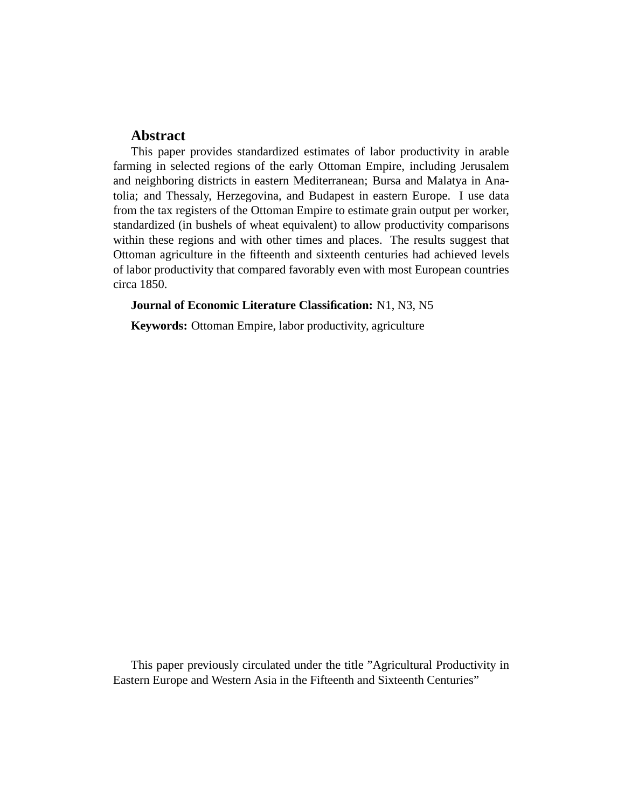### **Abstract**

This paper provides standardized estimates of labor productivity in arable farming in selected regions of the early Ottoman Empire, including Jerusalem and neighboring districts in eastern Mediterranean; Bursa and Malatya in Anatolia; and Thessaly, Herzegovina, and Budapest in eastern Europe. I use data from the tax registers of the Ottoman Empire to estimate grain output per worker, standardized (in bushels of wheat equivalent) to allow productivity comparisons within these regions and with other times and places. The results suggest that Ottoman agriculture in the fifteenth and sixteenth centuries had achieved levels of labor productivity that compared favorably even with most European countries circa 1850.

#### **Journal of Economic Literature Classification:** N1, N3, N5

**Keywords:** Ottoman Empire, labor productivity, agriculture

This paper previously circulated under the title "Agricultural Productivity in Eastern Europe and Western Asia in the Fifteenth and Sixteenth Centuries"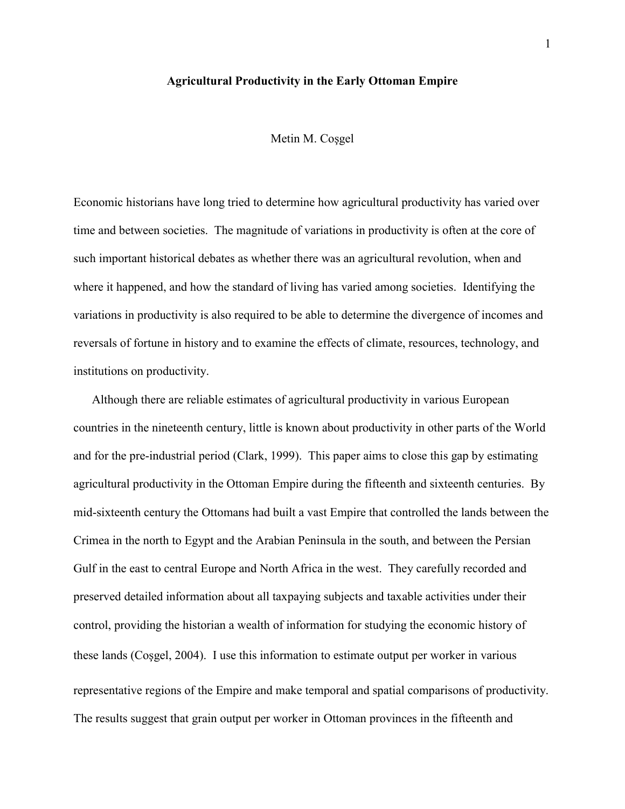#### **Agricultural Productivity in the Early Ottoman Empire**

Metin M. Coşgel

Economic historians have long tried to determine how agricultural productivity has varied over time and between societies. The magnitude of variations in productivity is often at the core of such important historical debates as whether there was an agricultural revolution, when and where it happened, and how the standard of living has varied among societies. Identifying the variations in productivity is also required to be able to determine the divergence of incomes and reversals of fortune in history and to examine the effects of climate, resources, technology, and institutions on productivity.

Although there are reliable estimates of agricultural productivity in various European countries in the nineteenth century, little is known about productivity in other parts of the World and for the pre-industrial period (Clark, 1999). This paper aims to close this gap by estimating agricultural productivity in the Ottoman Empire during the fifteenth and sixteenth centuries. By mid-sixteenth century the Ottomans had built a vast Empire that controlled the lands between the Crimea in the north to Egypt and the Arabian Peninsula in the south, and between the Persian Gulf in the east to central Europe and North Africa in the west. They carefully recorded and preserved detailed information about all taxpaying subjects and taxable activities under their control, providing the historian a wealth of information for studying the economic history of these lands (Coşgel, 2004). I use this information to estimate output per worker in various representative regions of the Empire and make temporal and spatial comparisons of productivity. The results suggest that grain output per worker in Ottoman provinces in the fifteenth and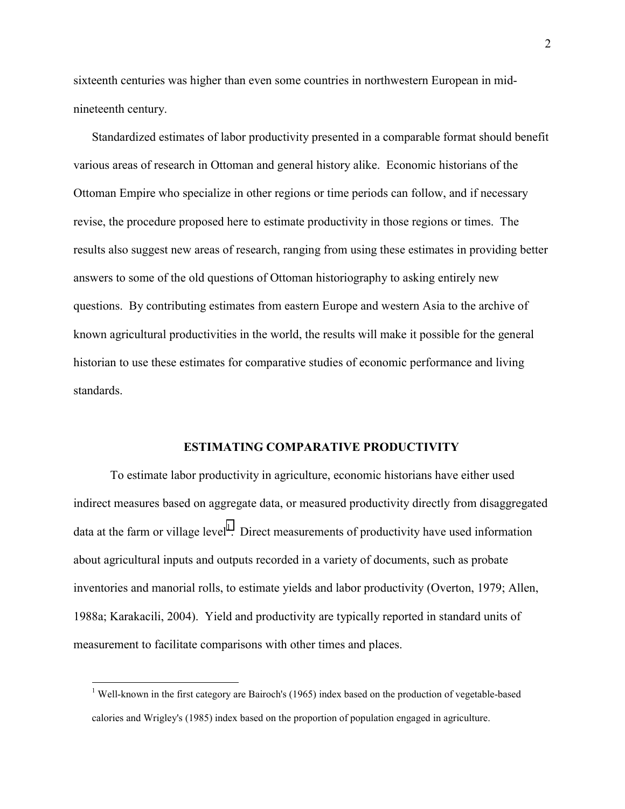sixteenth centuries was higher than even some countries in northwestern European in midnineteenth century.

Standardized estimates of labor productivity presented in a comparable format should benefit various areas of research in Ottoman and general history alike. Economic historians of the Ottoman Empire who specialize in other regions or time periods can follow, and if necessary revise, the procedure proposed here to estimate productivity in those regions or times. The results also suggest new areas of research, ranging from using these estimates in providing better answers to some of the old questions of Ottoman historiography to asking entirely new questions. By contributing estimates from eastern Europe and western Asia to the archive of known agricultural productivities in the world, the results will make it possible for the general historian to use these estimates for comparative studies of economic performance and living standards.

#### **ESTIMATING COMPARATIVE PRODUCTIVITY**

 To estimate labor productivity in agriculture, economic historians have either used indirect measures based on aggregate data, or measured productivity directly from disaggregated data at the farm or village level<sup>1</sup>. Direct measurements of productivity have used information about agricultural inputs and outputs recorded in a variety of documents, such as probate inventories and manorial rolls, to estimate yields and labor productivity (Overton, 1979; Allen, 1988a; Karakacili, 2004). Yield and productivity are typically reported in standard units of measurement to facilitate comparisons with other times and places.

<sup>&</sup>lt;sup>1</sup> Well-known in the first category are Bairoch's (1965) index based on the production of vegetable-based calories and Wrigley's (1985) index based on the proportion of population engaged in agriculture.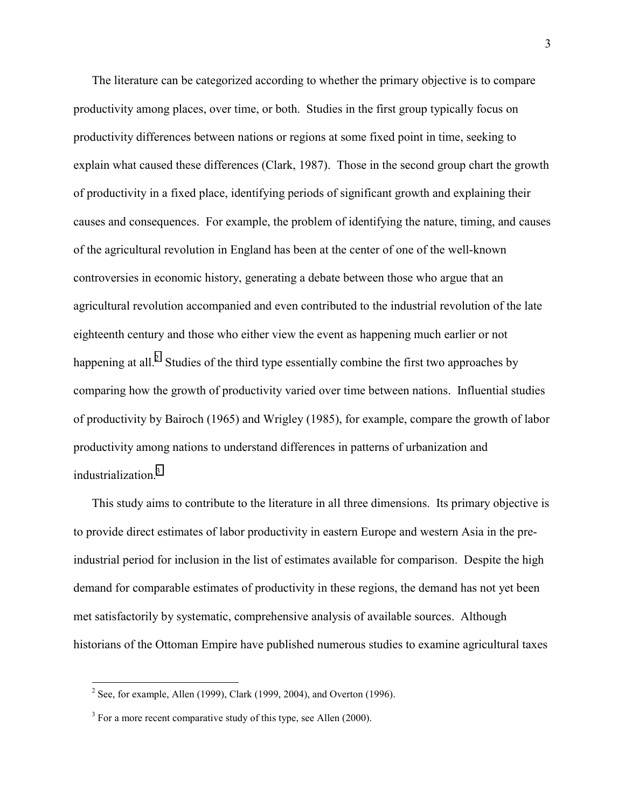The literature can be categorized according to whether the primary objective is to compare productivity among places, over time, or both. Studies in the first group typically focus on productivity differences between nations or regions at some fixed point in time, seeking to explain what caused these differences (Clark, 1987). Those in the second group chart the growth of productivity in a fixed place, identifying periods of significant growth and explaining their causes and consequences. For example, the problem of identifying the nature, timing, and causes of the agricultural revolution in England has been at the center of one of the well-known controversies in economic history, generating a debate between those who argue that an agricultural revolution accompanied and even contributed to the industrial revolution of the late eighteenth century and those who either view the event as happening much earlier or not happening at all.<sup>2</sup> Studies of the third type essentially combine the first two approaches by comparing how the growth of productivity varied over time between nations. Influential studies of productivity by Bairoch (1965) and Wrigley (1985), for example, compare the growth of labor productivity among nations to understand differences in patterns of urbanization and industrialization.3

This study aims to contribute to the literature in all three dimensions. Its primary objective is to provide direct estimates of labor productivity in eastern Europe and western Asia in the preindustrial period for inclusion in the list of estimates available for comparison. Despite the high demand for comparable estimates of productivity in these regions, the demand has not yet been met satisfactorily by systematic, comprehensive analysis of available sources. Although historians of the Ottoman Empire have published numerous studies to examine agricultural taxes

<sup>&</sup>lt;sup>2</sup> See, for example, Allen (1999), Clark (1999, 2004), and Overton (1996).

 $3$  For a more recent comparative study of this type, see Allen (2000).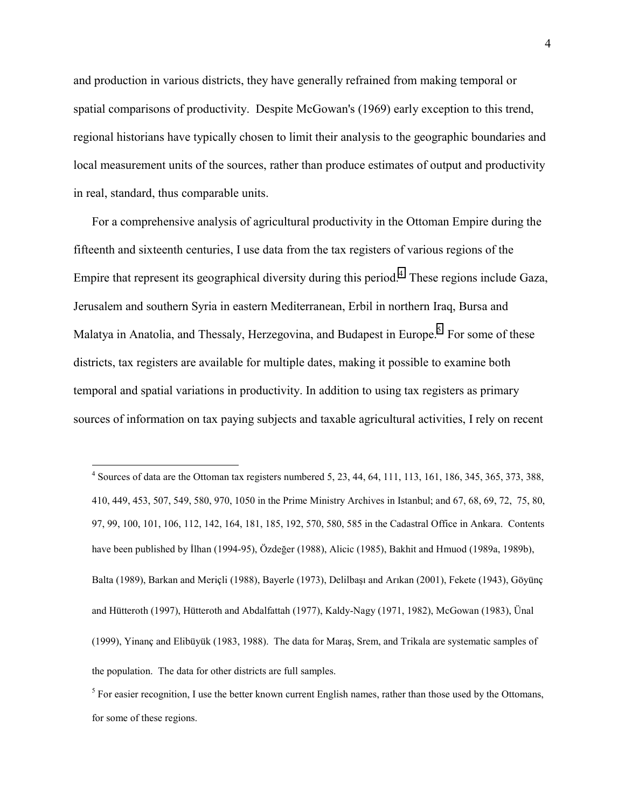<span id="page-6-0"></span>and production in various districts, they have generally refrained from making temporal or spatial comparisons of productivity. Despite McGowan's (1969) early exception to this trend, regional historians have typically chosen to limit their analysis to the geographic boundaries and local measurement units of the sources, rather than produce estimates of output and productivity in real, standard, thus comparable units.

For a comprehensive analysis of agricultural productivity in the Ottoman Empire during the fifteenth and sixteenth centuries, I use data from the tax registers of various regions of the Empire that represent its geographical diversity during this period.<sup>4</sup> These regions include Gaza, Jerusalem and southern Syria in eastern Mediterranean, Erbil in northern Iraq, Bursa and Malatya in Anatolia, and Thessaly, Herzegovina, and Budapest in Europe.<sup>5</sup> For some of these districts, tax registers are available for multiple dates, making it possible to examine both temporal and spatial variations in productivity. In addition to using tax registers as primary sources of information on tax paying subjects and taxable agricultural activities, I rely on recent

<sup>&</sup>lt;sup>4</sup> Sources of data are the Ottoman tax registers numbered 5, 23, 44, 64, 111, 113, 161, 186, 345, 365, 373, 388, 410, 449, 453, 507, 549, 580, 970, 1050 in the Prime Ministry Archives in Istanbul; and 67, 68, 69, 72, 75, 80, 97, 99, 100, 101, 106, 112, 142, 164, 181, 185, 192, 570, 580, 585 in the Cadastral Office in Ankara. Contents have been published by İlhan (1994-95), Özdeğer (1988), Alicic (1985), Bakhit and Hmuod (1989a, 1989b), Balta (1989), Barkan and Mericli (1988), Bayerle (1973), Delilbası and Arıkan (2001), Fekete (1943), Göyünc and Hütteroth (1997), Hütteroth and Abdalfattah (1977), Kaldy-Nagy (1971, 1982), McGowan (1983), Ünal (1999), Yinanç and Elibüyük (1983, 1988). The data for Maras, Srem, and Trikala are systematic samples of the population. The data for other districts are full samples.

 $<sup>5</sup>$  For easier recognition, I use the better known current English names, rather than those used by the Ottomans,</sup> for some of these regions.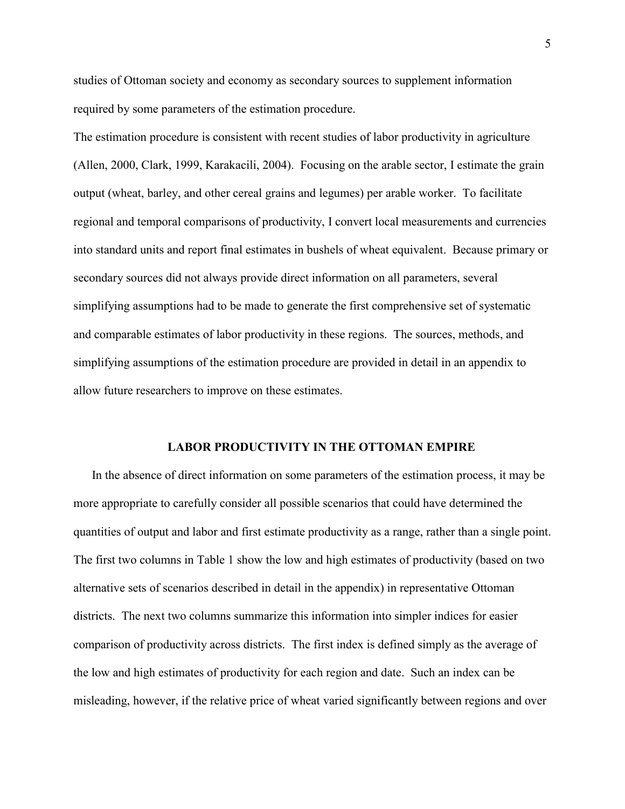studies of Ottoman society and economy as secondary sources to supplement information required by some parameters of the estimation procedure.

The estimation procedure is consistent with recent studies of labor productivity in agriculture (Allen, 2000, Clark, 1999, Karakacili, 2004). Focusing on the arable sector, I estimate the grain output (wheat, barley, and other cereal grains and legumes) per arable worker. To facilitate regional and temporal comparisons of productivity, I convert local measurements and currencies into standard units and report final estimates in bushels of wheat equivalent. Because primary or secondary sources did not always provide direct information on all parameters, several simplifying assumptions had to be made to generate the first comprehensive set of systematic and comparable estimates of labor productivity in these regions. The sources, methods, and simplifying assumptions of the estimation procedure are provided in detail in an appendix to allow future researchers to improve on these estimates.

#### **LABOR PRODUCTIVITY IN THE OTTOMAN EMPIRE**

In the absence of direct information on some parameters of the estimation process, it may be more appropriate to carefully consider all possible scenarios that could have determined the quantities of output and labor and first estimate productivity as a range, rather than a single point. The first two columns in Table 1 show the low and high estimates of productivity (based on two alternative sets of scenarios described in detail in the appendix) in representative Ottoman districts. The next two columns summarize this information into simpler indices for easier comparison of productivity across districts. The first index is defined simply as the average of the low and high estimates of productivity for each region and date. Such an index can be misleading, however, if the relative price of wheat varied significantly between regions and over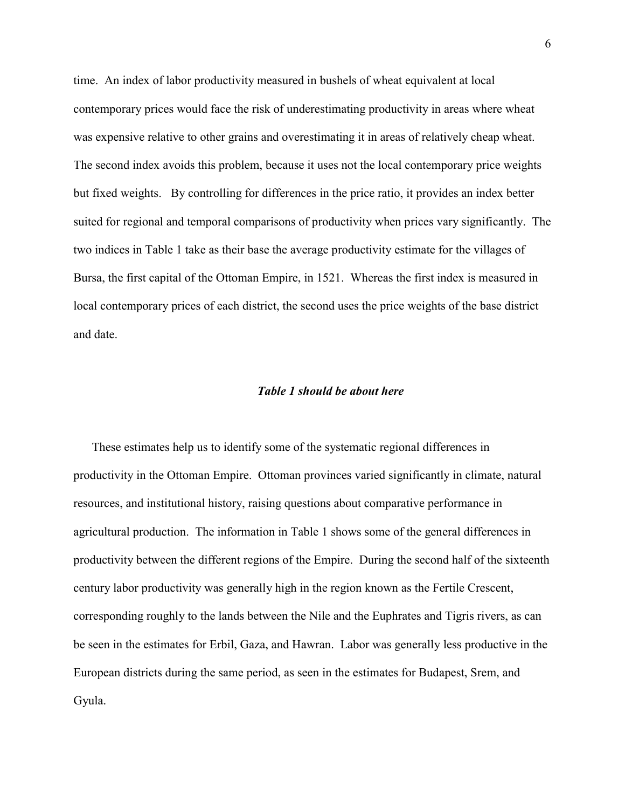time. An index of labor productivity measured in bushels of wheat equivalent at local contemporary prices would face the risk of underestimating productivity in areas where wheat was expensive relative to other grains and overestimating it in areas of relatively cheap wheat. The second index avoids this problem, because it uses not the local contemporary price weights but fixed weights. By controlling for differences in the price ratio, it provides an index better suited for regional and temporal comparisons of productivity when prices vary significantly. The two indices in Table 1 take as their base the average productivity estimate for the villages of Bursa, the first capital of the Ottoman Empire, in 1521. Whereas the first index is measured in local contemporary prices of each district, the second uses the price weights of the base district and date.

#### *Table 1 should be about here*

These estimates help us to identify some of the systematic regional differences in productivity in the Ottoman Empire. Ottoman provinces varied significantly in climate, natural resources, and institutional history, raising questions about comparative performance in agricultural production. The information in Table 1 shows some of the general differences in productivity between the different regions of the Empire. During the second half of the sixteenth century labor productivity was generally high in the region known as the Fertile Crescent, corresponding roughly to the lands between the Nile and the Euphrates and Tigris rivers, as can be seen in the estimates for Erbil, Gaza, and Hawran. Labor was generally less productive in the European districts during the same period, as seen in the estimates for Budapest, Srem, and Gyula.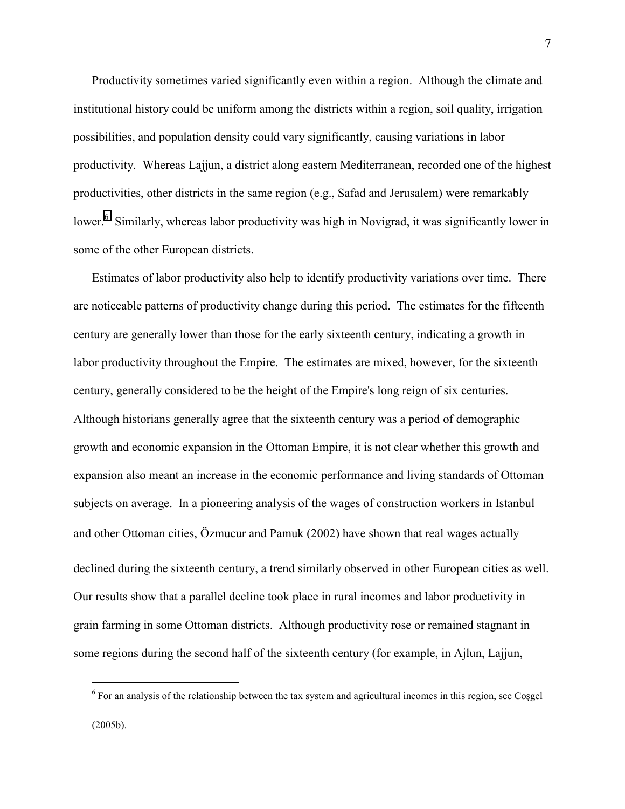Productivity sometimes varied significantly even within a region. Although the climate and institutional history could be uniform among the districts within a region, soil quality, irrigation possibilities, and population density could vary significantly, causing variations in labor productivity. Whereas Lajjun, a district along eastern Mediterranean, recorded one of the highest productivities, other districts in the same region (e.g., Safad and Jerusalem) were remarkably lower.<sup>6</sup> Similarly, whereas labor productivity was high in Novigrad, it was significantly lower in some of the other European districts.

Estimates of labor productivity also help to identify productivity variations over time. There are noticeable patterns of productivity change during this period. The estimates for the fifteenth century are generally lower than those for the early sixteenth century, indicating a growth in labor productivity throughout the Empire. The estimates are mixed, however, for the sixteenth century, generally considered to be the height of the Empire's long reign of six centuries. Although historians generally agree that the sixteenth century was a period of demographic growth and economic expansion in the Ottoman Empire, it is not clear whether this growth and expansion also meant an increase in the economic performance and living standards of Ottoman subjects on average. In a pioneering analysis of the wages of construction workers in Istanbul and other Ottoman cities, Özmucur and Pamuk (2002) have shown that real wages actually declined during the sixteenth century, a trend similarly observed in other European cities as well. Our results show that a parallel decline took place in rural incomes and labor productivity in grain farming in some Ottoman districts. Although productivity rose or remained stagnant in some regions during the second half of the sixteenth century (for example, in Ajlun, Lajjun,

 $6$  For an analysis of the relationship between the tax system and agricultural incomes in this region, see Cosgel (2005b).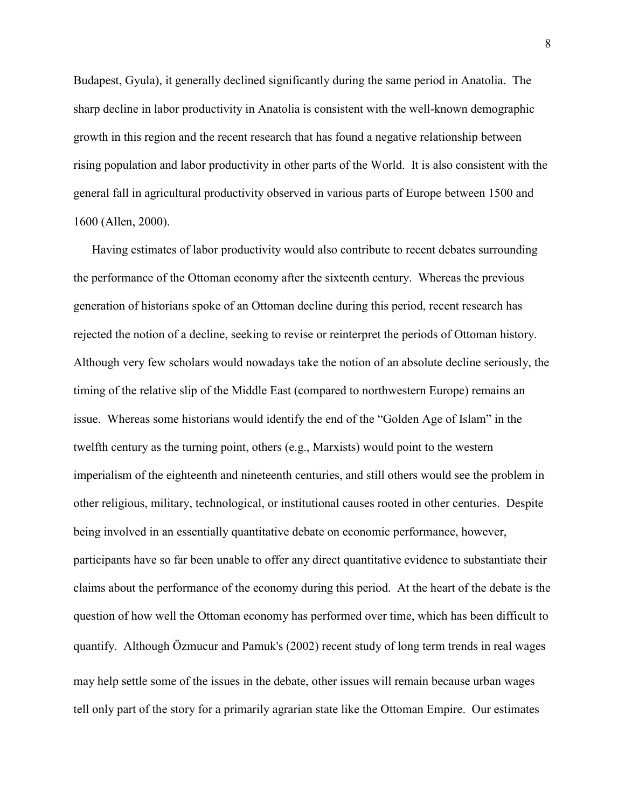Budapest, Gyula), it generally declined significantly during the same period in Anatolia. The sharp decline in labor productivity in Anatolia is consistent with the well-known demographic growth in this region and the recent research that has found a negative relationship between rising population and labor productivity in other parts of the World. It is also consistent with the general fall in agricultural productivity observed in various parts of Europe between 1500 and 1600 (Allen, 2000).

Having estimates of labor productivity would also contribute to recent debates surrounding the performance of the Ottoman economy after the sixteenth century. Whereas the previous generation of historians spoke of an Ottoman decline during this period, recent research has rejected the notion of a decline, seeking to revise or reinterpret the periods of Ottoman history. Although very few scholars would nowadays take the notion of an absolute decline seriously, the timing of the relative slip of the Middle East (compared to northwestern Europe) remains an issue. Whereas some historians would identify the end of the "Golden Age of Islam" in the twelfth century as the turning point, others (e.g., Marxists) would point to the western imperialism of the eighteenth and nineteenth centuries, and still others would see the problem in other religious, military, technological, or institutional causes rooted in other centuries. Despite being involved in an essentially quantitative debate on economic performance, however, participants have so far been unable to offer any direct quantitative evidence to substantiate their claims about the performance of the economy during this period. At the heart of the debate is the question of how well the Ottoman economy has performed over time, which has been difficult to quantify. Although Özmucur and Pamuk's (2002) recent study of long term trends in real wages may help settle some of the issues in the debate, other issues will remain because urban wages tell only part of the story for a primarily agrarian state like the Ottoman Empire. Our estimates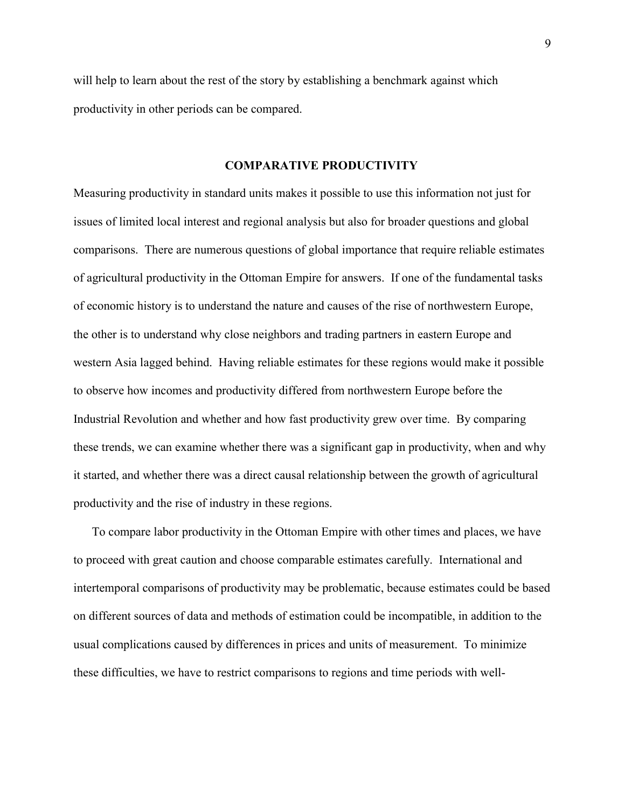will help to learn about the rest of the story by establishing a benchmark against which productivity in other periods can be compared.

#### **COMPARATIVE PRODUCTIVITY**

Measuring productivity in standard units makes it possible to use this information not just for issues of limited local interest and regional analysis but also for broader questions and global comparisons. There are numerous questions of global importance that require reliable estimates of agricultural productivity in the Ottoman Empire for answers. If one of the fundamental tasks of economic history is to understand the nature and causes of the rise of northwestern Europe, the other is to understand why close neighbors and trading partners in eastern Europe and western Asia lagged behind. Having reliable estimates for these regions would make it possible to observe how incomes and productivity differed from northwestern Europe before the Industrial Revolution and whether and how fast productivity grew over time. By comparing these trends, we can examine whether there was a significant gap in productivity, when and why it started, and whether there was a direct causal relationship between the growth of agricultural productivity and the rise of industry in these regions.

To compare labor productivity in the Ottoman Empire with other times and places, we have to proceed with great caution and choose comparable estimates carefully. International and intertemporal comparisons of productivity may be problematic, because estimates could be based on different sources of data and methods of estimation could be incompatible, in addition to the usual complications caused by differences in prices and units of measurement. To minimize these difficulties, we have to restrict comparisons to regions and time periods with well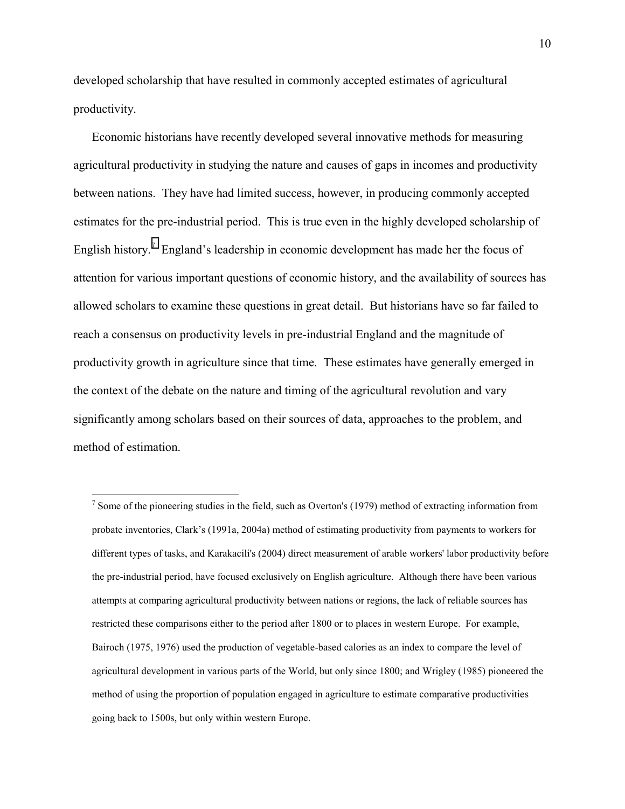developed scholarship that have resulted in commonly accepted estimates of agricultural productivity.

Economic historians have recently developed several innovative methods for measuring agricultural productivity in studying the nature and causes of gaps in incomes and productivity between nations. They have had limited success, however, in producing commonly accepted estimates for the pre-industrial period. This is true even in the highly developed scholarship of English history.<sup>7</sup> England's leadership in economic development has made her the focus of attention for various important questions of economic history, and the availability of sources has allowed scholars to examine these questions in great detail. But historians have so far failed to reach a consensus on productivity levels in pre-industrial England and the magnitude of productivity growth in agriculture since that time. These estimates have generally emerged in the context of the debate on the nature and timing of the agricultural revolution and vary significantly among scholars based on their sources of data, approaches to the problem, and method of estimation.

<sup>&</sup>lt;sup>7</sup> Some of the pioneering studies in the field, such as Overton's (1979) method of extracting information from probate inventories, Clark's (1991a, 2004a) method of estimating productivity from payments to workers for different types of tasks, and Karakacili's (2004) direct measurement of arable workers' labor productivity before the pre-industrial period, have focused exclusively on English agriculture. Although there have been various attempts at comparing agricultural productivity between nations or regions, the lack of reliable sources has restricted these comparisons either to the period after 1800 or to places in western Europe. For example, Bairoch (1975, 1976) used the production of vegetable-based calories as an index to compare the level of agricultural development in various parts of the World, but only since 1800; and Wrigley (1985) pioneered the method of using the proportion of population engaged in agriculture to estimate comparative productivities going back to 1500s, but only within western Europe.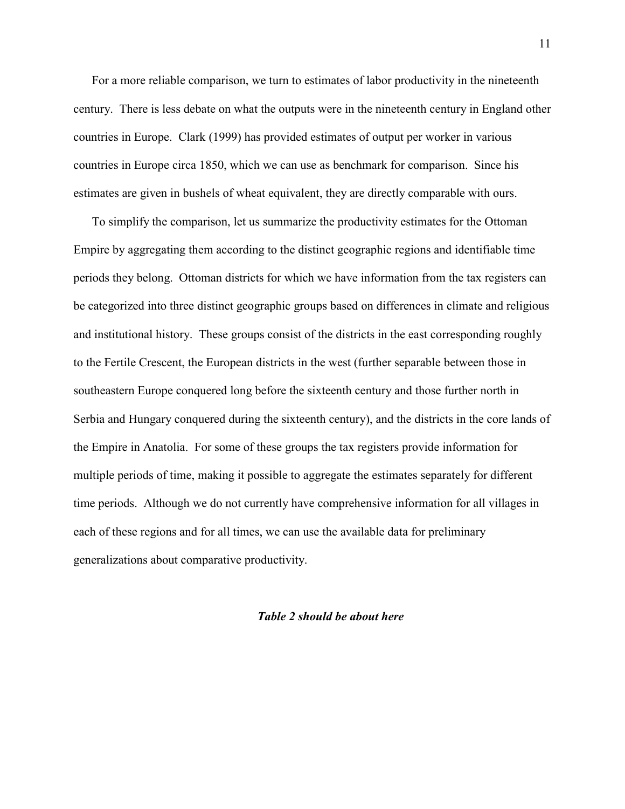For a more reliable comparison, we turn to estimates of labor productivity in the nineteenth century. There is less debate on what the outputs were in the nineteenth century in England other countries in Europe. Clark (1999) has provided estimates of output per worker in various countries in Europe circa 1850, which we can use as benchmark for comparison. Since his estimates are given in bushels of wheat equivalent, they are directly comparable with ours.

To simplify the comparison, let us summarize the productivity estimates for the Ottoman Empire by aggregating them according to the distinct geographic regions and identifiable time periods they belong. Ottoman districts for which we have information from the tax registers can be categorized into three distinct geographic groups based on differences in climate and religious and institutional history. These groups consist of the districts in the east corresponding roughly to the Fertile Crescent, the European districts in the west (further separable between those in southeastern Europe conquered long before the sixteenth century and those further north in Serbia and Hungary conquered during the sixteenth century), and the districts in the core lands of the Empire in Anatolia. For some of these groups the tax registers provide information for multiple periods of time, making it possible to aggregate the estimates separately for different time periods. Although we do not currently have comprehensive information for all villages in each of these regions and for all times, we can use the available data for preliminary generalizations about comparative productivity.

#### *Table 2 should be about here*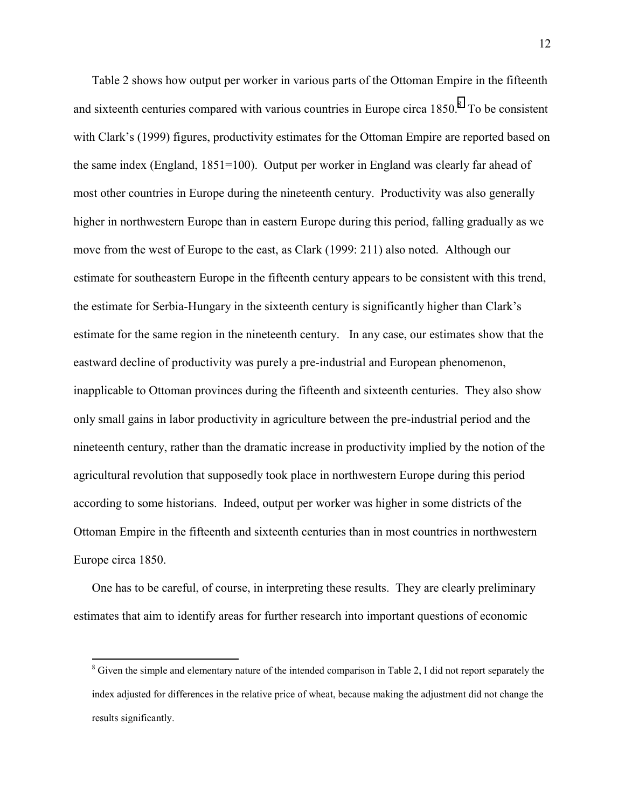Table 2 shows how output per worker in various parts of the Ottoman Empire in the fifteenth and sixteenth centuries compared with various countries in Europe circa  $1850$ .<sup>8</sup> To be consistent with Clark's (1999) figures, productivity estimates for the Ottoman Empire are reported based on the same index (England, 1851=100). Output per worker in England was clearly far ahead of most other countries in Europe during the nineteenth century. Productivity was also generally higher in northwestern Europe than in eastern Europe during this period, falling gradually as we move from the west of Europe to the east, as Clark (1999: 211) also noted. Although our estimate for southeastern Europe in the fifteenth century appears to be consistent with this trend, the estimate for Serbia-Hungary in the sixteenth century is significantly higher than Clark's estimate for the same region in the nineteenth century. In any case, our estimates show that the eastward decline of productivity was purely a pre-industrial and European phenomenon, inapplicable to Ottoman provinces during the fifteenth and sixteenth centuries. They also show only small gains in labor productivity in agriculture between the pre-industrial period and the nineteenth century, rather than the dramatic increase in productivity implied by the notion of the agricultural revolution that supposedly took place in northwestern Europe during this period according to some historians. Indeed, output per worker was higher in some districts of the Ottoman Empire in the fifteenth and sixteenth centuries than in most countries in northwestern Europe circa 1850.

One has to be careful, of course, in interpreting these results. They are clearly preliminary estimates that aim to identify areas for further research into important questions of economic

 $8$  Given the simple and elementary nature of the intended comparison in Table 2, I did not report separately the index adjusted for differences in the relative price of wheat, because making the adjustment did not change the results significantly.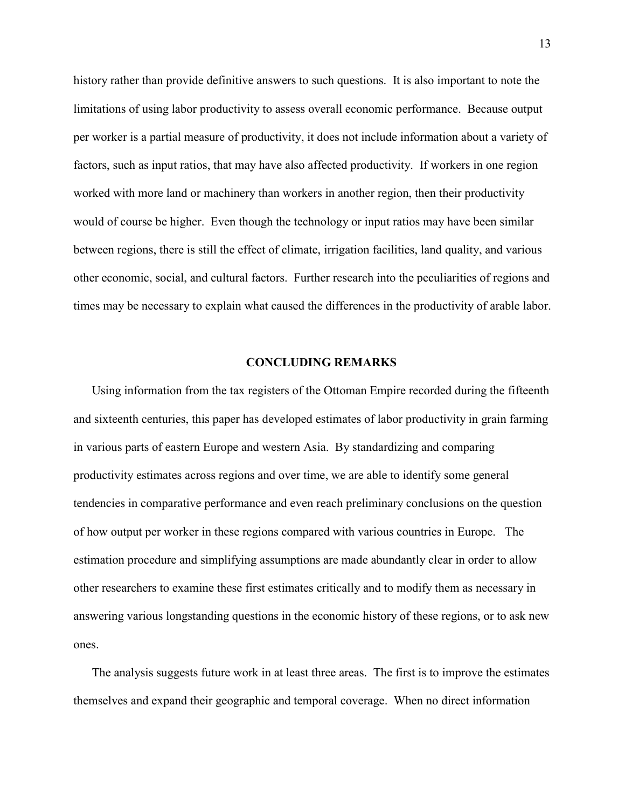history rather than provide definitive answers to such questions. It is also important to note the limitations of using labor productivity to assess overall economic performance. Because output per worker is a partial measure of productivity, it does not include information about a variety of factors, such as input ratios, that may have also affected productivity. If workers in one region worked with more land or machinery than workers in another region, then their productivity would of course be higher. Even though the technology or input ratios may have been similar between regions, there is still the effect of climate, irrigation facilities, land quality, and various other economic, social, and cultural factors. Further research into the peculiarities of regions and times may be necessary to explain what caused the differences in the productivity of arable labor.

#### **CONCLUDING REMARKS**

Using information from the tax registers of the Ottoman Empire recorded during the fifteenth and sixteenth centuries, this paper has developed estimates of labor productivity in grain farming in various parts of eastern Europe and western Asia. By standardizing and comparing productivity estimates across regions and over time, we are able to identify some general tendencies in comparative performance and even reach preliminary conclusions on the question of how output per worker in these regions compared with various countries in Europe. The estimation procedure and simplifying assumptions are made abundantly clear in order to allow other researchers to examine these first estimates critically and to modify them as necessary in answering various longstanding questions in the economic history of these regions, or to ask new ones.

The analysis suggests future work in at least three areas. The first is to improve the estimates themselves and expand their geographic and temporal coverage. When no direct information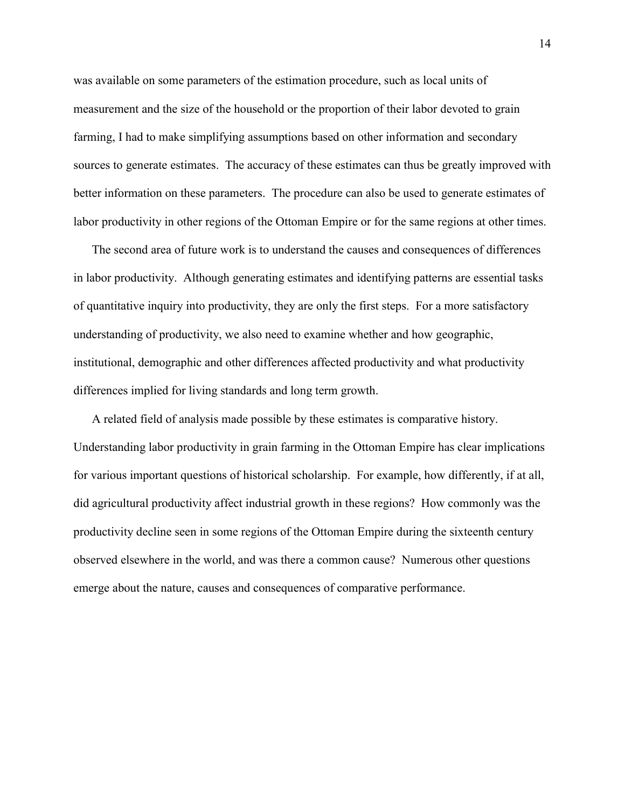was available on some parameters of the estimation procedure, such as local units of measurement and the size of the household or the proportion of their labor devoted to grain farming, I had to make simplifying assumptions based on other information and secondary sources to generate estimates. The accuracy of these estimates can thus be greatly improved with better information on these parameters. The procedure can also be used to generate estimates of labor productivity in other regions of the Ottoman Empire or for the same regions at other times.

The second area of future work is to understand the causes and consequences of differences in labor productivity. Although generating estimates and identifying patterns are essential tasks of quantitative inquiry into productivity, they are only the first steps. For a more satisfactory understanding of productivity, we also need to examine whether and how geographic, institutional, demographic and other differences affected productivity and what productivity differences implied for living standards and long term growth.

A related field of analysis made possible by these estimates is comparative history. Understanding labor productivity in grain farming in the Ottoman Empire has clear implications for various important questions of historical scholarship. For example, how differently, if at all, did agricultural productivity affect industrial growth in these regions? How commonly was the productivity decline seen in some regions of the Ottoman Empire during the sixteenth century observed elsewhere in the world, and was there a common cause? Numerous other questions emerge about the nature, causes and consequences of comparative performance.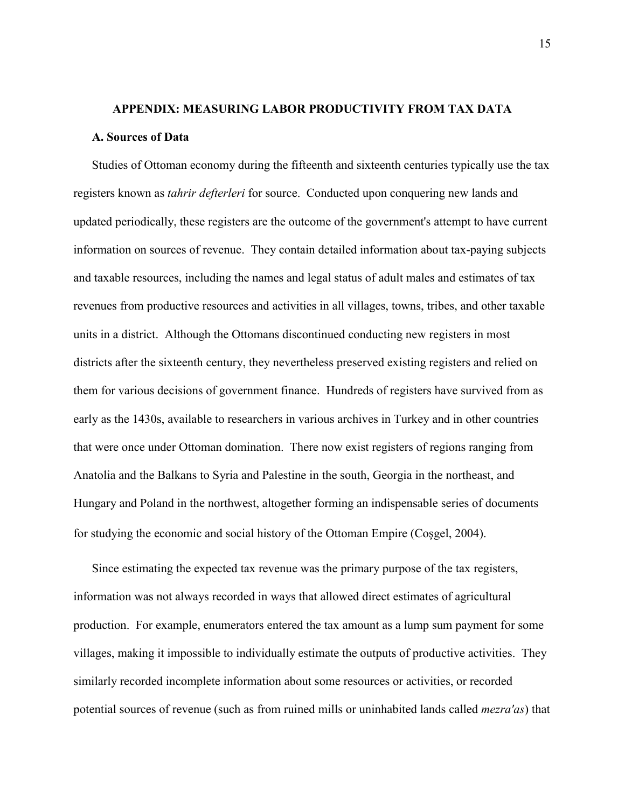# **APPENDIX: MEASURING LABOR PRODUCTIVITY FROM TAX DATA A. Sources of Data**

Studies of Ottoman economy during the fifteenth and sixteenth centuries typically use the tax registers known as *tahrir defterleri* for source. Conducted upon conquering new lands and updated periodically, these registers are the outcome of the government's attempt to have current information on sources of revenue. They contain detailed information about tax-paying subjects and taxable resources, including the names and legal status of adult males and estimates of tax revenues from productive resources and activities in all villages, towns, tribes, and other taxable units in a district. Although the Ottomans discontinued conducting new registers in most districts after the sixteenth century, they nevertheless preserved existing registers and relied on them for various decisions of government finance. Hundreds of registers have survived from as early as the 1430s, available to researchers in various archives in Turkey and in other countries that were once under Ottoman domination. There now exist registers of regions ranging from Anatolia and the Balkans to Syria and Palestine in the south, Georgia in the northeast, and Hungary and Poland in the northwest, altogether forming an indispensable series of documents for studying the economic and social history of the Ottoman Empire (Coşgel, 2004).

Since estimating the expected tax revenue was the primary purpose of the tax registers, information was not always recorded in ways that allowed direct estimates of agricultural production. For example, enumerators entered the tax amount as a lump sum payment for some villages, making it impossible to individually estimate the outputs of productive activities. They similarly recorded incomplete information about some resources or activities, or recorded potential sources of revenue (such as from ruined mills or uninhabited lands called *mezra'as*) that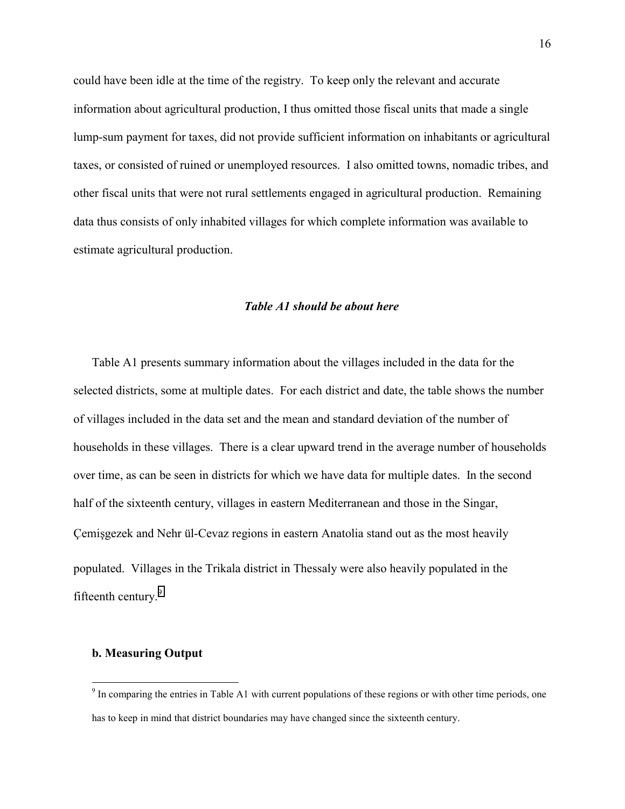could have been idle at the time of the registry. To keep only the relevant and accurate information about agricultural production, I thus omitted those fiscal units that made a single lump-sum payment for taxes, did not provide sufficient information on inhabitants or agricultural taxes, or consisted of ruined or unemployed resources. I also omitted towns, nomadic tribes, and other fiscal units that were not rural settlements engaged in agricultural production. Remaining data thus consists of only inhabited villages for which complete information was available to estimate agricultural production.

#### *Table A1 should be about here*

Table A1 presents summary information about the villages included in the data for the selected districts, some at multiple dates. For each district and date, the table shows the number of villages included in the data set and the mean and standard deviation of the number of households in these villages. There is a clear upward trend in the average number of households over time, as can be seen in districts for which we have data for multiple dates. In the second half of the sixteenth century, villages in eastern Mediterranean and those in the Singar, Çemişgezek and Nehr ül-Cevaz regions in eastern Anatolia stand out as the most heavily populated. Villages in the Trikala district in Thessaly were also heavily populated in the fifteenth century.<sup>9</sup>

#### **b. Measuring Output**

 $9<sup>9</sup>$  In comparing the entries in Table A1 with current populations of these regions or with other time periods, one has to keep in mind that district boundaries may have changed since the sixteenth century.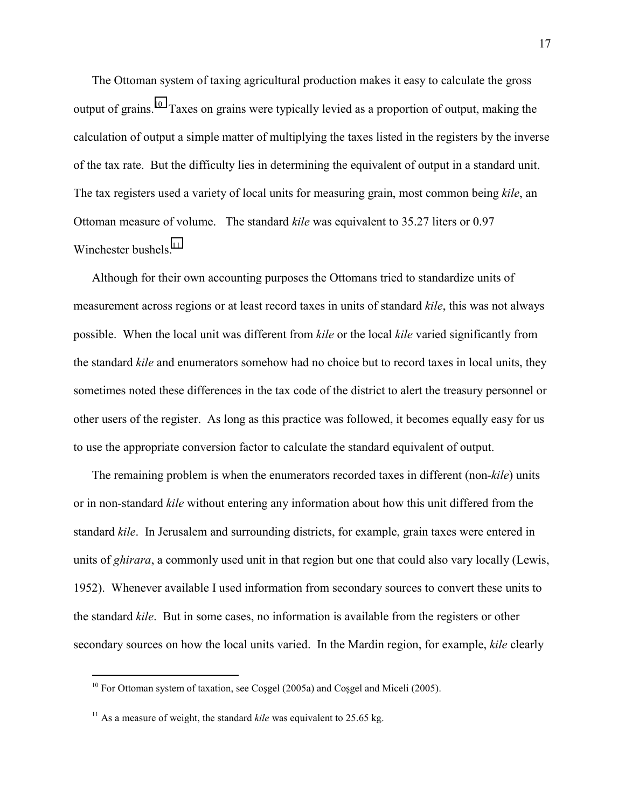The Ottoman system of taxing agricultural production makes it easy to calculate the gross output of grains.<sup>10</sup> Taxes on grains were typically levied as a proportion of output, making the calculation of output a simple matter of multiplying the taxes listed in the registers by the inverse of the tax rate. But the difficulty lies in determining the equivalent of output in a standard unit. The tax registers used a variety of local units for measuring grain, most common being *kile*, an Ottoman measure of volume. The standard *kile* was equivalent to 35.27 liters or 0.97 Winchester bushels.<sup>11</sup>

Although for their own accounting purposes the Ottomans tried to standardize units of measurement across regions or at least record taxes in units of standard *kile*, this was not always possible. When the local unit was different from *kile* or the local *kile* varied significantly from the standard *kile* and enumerators somehow had no choice but to record taxes in local units, they sometimes noted these differences in the tax code of the district to alert the treasury personnel or other users of the register. As long as this practice was followed, it becomes equally easy for us to use the appropriate conversion factor to calculate the standard equivalent of output.

The remaining problem is when the enumerators recorded taxes in different (non-*kile*) units or in non-standard *kile* without entering any information about how this unit differed from the standard *kile*. In Jerusalem and surrounding districts, for example, grain taxes were entered in units of *ghirara*, a commonly used unit in that region but one that could also vary locally (Lewis, 1952). Whenever available I used information from secondary sources to convert these units to the standard *kile*. But in some cases, no information is available from the registers or other secondary sources on how the local units varied. In the Mardin region, for example, *kile* clearly

<sup>&</sup>lt;sup>10</sup> For Ottoman system of taxation, see Cosgel (2005a) and Cosgel and Miceli (2005).

<sup>&</sup>lt;sup>11</sup> As a measure of weight, the standard *kile* was equivalent to 25.65 kg.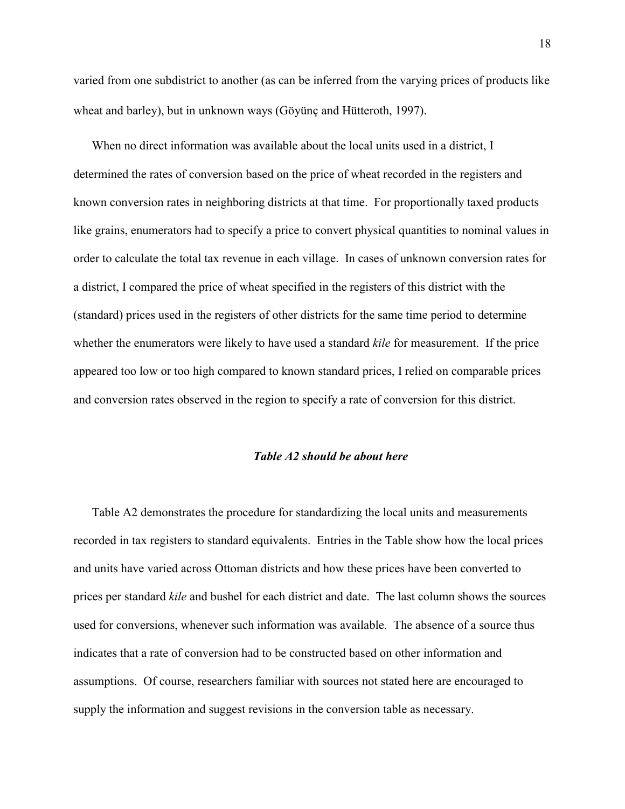varied from one subdistrict to another (as can be inferred from the varying prices of products like wheat and barley), but in unknown ways (Göyünç and Hütteroth, 1997).

When no direct information was available about the local units used in a district, I determined the rates of conversion based on the price of wheat recorded in the registers and known conversion rates in neighboring districts at that time. For proportionally taxed products like grains, enumerators had to specify a price to convert physical quantities to nominal values in order to calculate the total tax revenue in each village. In cases of unknown conversion rates for a district, I compared the price of wheat specified in the registers of this district with the (standard) prices used in the registers of other districts for the same time period to determine whether the enumerators were likely to have used a standard *kile* for measurement. If the price appeared too low or too high compared to known standard prices, I relied on comparable prices and conversion rates observed in the region to specify a rate of conversion for this district.

#### *Table A2 should be about here*

Table A2 demonstrates the procedure for standardizing the local units and measurements recorded in tax registers to standard equivalents. Entries in the Table show how the local prices and units have varied across Ottoman districts and how these prices have been converted to prices per standard *kile* and bushel for each district and date. The last column shows the sources used for conversions, whenever such information was available. The absence of a source thus indicates that a rate of conversion had to be constructed based on other information and assumptions. Of course, researchers familiar with sources not stated here are encouraged to supply the information and suggest revisions in the conversion table as necessary.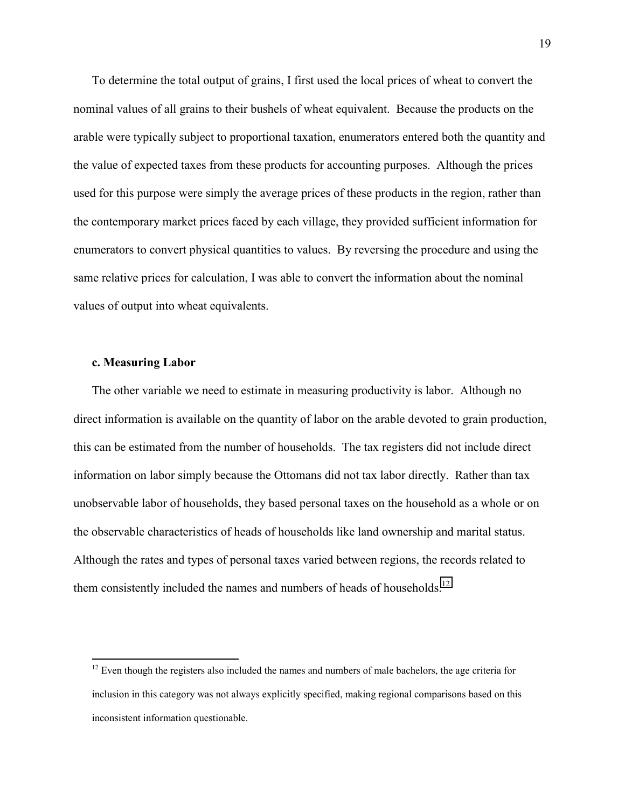To determine the total output of grains, I first used the local prices of wheat to convert the nominal values of all grains to their bushels of wheat equivalent. Because the products on the arable were typically subject to proportional taxation, enumerators entered both the quantity and the value of expected taxes from these products for accounting purposes. Although the prices used for this purpose were simply the average prices of these products in the region, rather than the contemporary market prices faced by each village, they provided sufficient information for enumerators to convert physical quantities to values. By reversing the procedure and using the same relative prices for calculation, I was able to convert the information about the nominal values of output into wheat equivalents.

#### **c. Measuring Labor**

 $\overline{a}$ 

The other variable we need to estimate in measuring productivity is labor. Although no direct information is available on the quantity of labor on the arable devoted to grain production, this can be estimated from the number of households. The tax registers did not include direct information on labor simply because the Ottomans did not tax labor directly. Rather than tax unobservable labor of households, they based personal taxes on the household as a whole or on the observable characteristics of heads of households like land ownership and marital status. Although the rates and types of personal taxes varied between regions, the records related to them consistently included the names and numbers of heads of households.<sup>12</sup>

 $12$  Even though the registers also included the names and numbers of male bachelors, the age criteria for inclusion in this category was not always explicitly specified, making regional comparisons based on this inconsistent information questionable.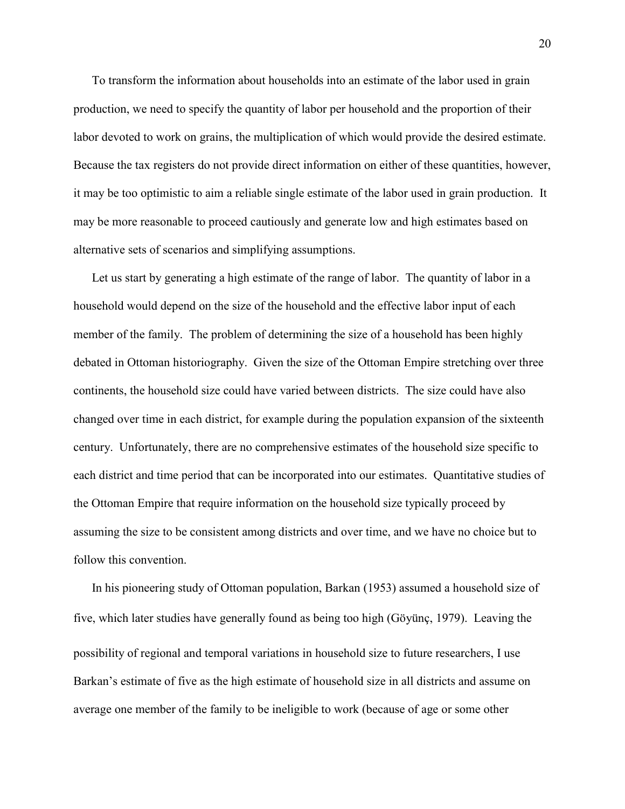To transform the information about households into an estimate of the labor used in grain production, we need to specify the quantity of labor per household and the proportion of their labor devoted to work on grains, the multiplication of which would provide the desired estimate. Because the tax registers do not provide direct information on either of these quantities, however, it may be too optimistic to aim a reliable single estimate of the labor used in grain production. It may be more reasonable to proceed cautiously and generate low and high estimates based on alternative sets of scenarios and simplifying assumptions.

Let us start by generating a high estimate of the range of labor. The quantity of labor in a household would depend on the size of the household and the effective labor input of each member of the family. The problem of determining the size of a household has been highly debated in Ottoman historiography. Given the size of the Ottoman Empire stretching over three continents, the household size could have varied between districts. The size could have also changed over time in each district, for example during the population expansion of the sixteenth century. Unfortunately, there are no comprehensive estimates of the household size specific to each district and time period that can be incorporated into our estimates. Quantitative studies of the Ottoman Empire that require information on the household size typically proceed by assuming the size to be consistent among districts and over time, and we have no choice but to follow this convention.

In his pioneering study of Ottoman population, Barkan (1953) assumed a household size of five, which later studies have generally found as being too high (Göyünç, 1979). Leaving the possibility of regional and temporal variations in household size to future researchers, I use Barkan's estimate of five as the high estimate of household size in all districts and assume on average one member of the family to be ineligible to work (because of age or some other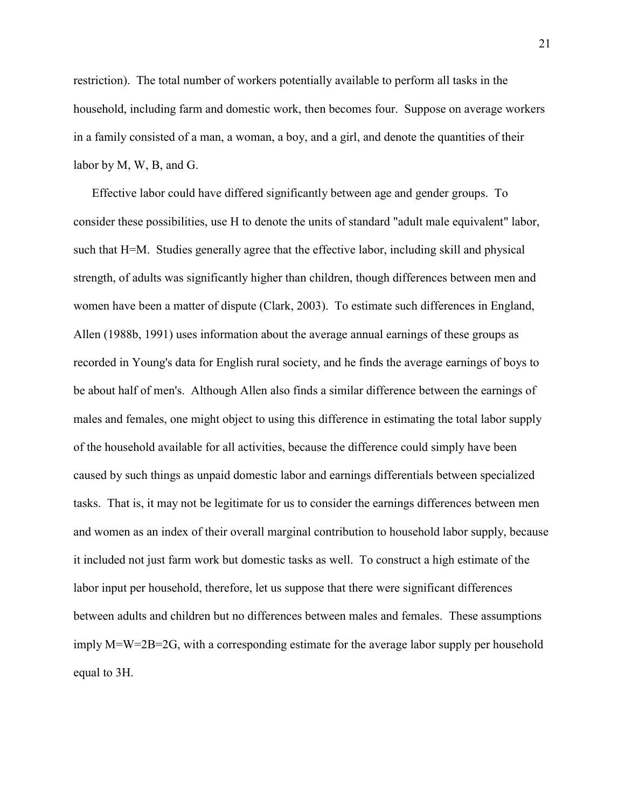restriction). The total number of workers potentially available to perform all tasks in the household, including farm and domestic work, then becomes four. Suppose on average workers in a family consisted of a man, a woman, a boy, and a girl, and denote the quantities of their labor by M, W, B, and G.

Effective labor could have differed significantly between age and gender groups. To consider these possibilities, use H to denote the units of standard "adult male equivalent" labor, such that H=M. Studies generally agree that the effective labor, including skill and physical strength, of adults was significantly higher than children, though differences between men and women have been a matter of dispute (Clark, 2003). To estimate such differences in England, Allen (1988b, 1991) uses information about the average annual earnings of these groups as recorded in Young's data for English rural society, and he finds the average earnings of boys to be about half of men's. Although Allen also finds a similar difference between the earnings of males and females, one might object to using this difference in estimating the total labor supply of the household available for all activities, because the difference could simply have been caused by such things as unpaid domestic labor and earnings differentials between specialized tasks. That is, it may not be legitimate for us to consider the earnings differences between men and women as an index of their overall marginal contribution to household labor supply, because it included not just farm work but domestic tasks as well. To construct a high estimate of the labor input per household, therefore, let us suppose that there were significant differences between adults and children but no differences between males and females. These assumptions imply M=W=2B=2G, with a corresponding estimate for the average labor supply per household equal to 3H.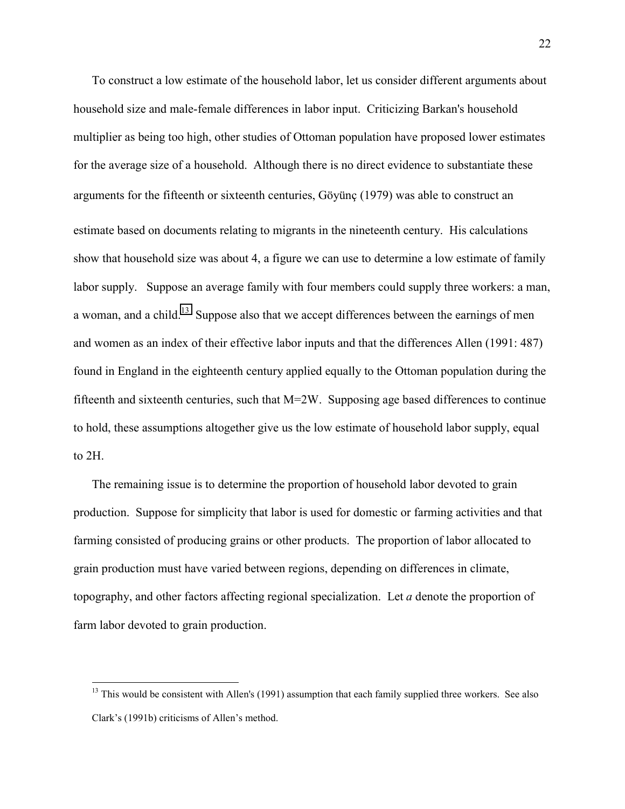To construct a low estimate of the household labor, let us consider different arguments about household size and male-female differences in labor input. Criticizing Barkan's household multiplier as being too high, other studies of Ottoman population have proposed lower estimates for the average size of a household. Although there is no direct evidence to substantiate these arguments for the fifteenth or sixteenth centuries, Göyünç (1979) was able to construct an estimate based on documents relating to migrants in the nineteenth century. His calculations show that household size was about 4, a figure we can use to determine a low estimate of family labor supply. Suppose an average family with four members could supply three workers: a man, a woman, and a child.<sup>13</sup> Suppose also that we accept differences between the earnings of men and women as an index of their effective labor inputs and that the differences Allen (1991: 487) found in England in the eighteenth century applied equally to the Ottoman population during the fifteenth and sixteenth centuries, such that M=2W. Supposing age based differences to continue to hold, these assumptions altogether give us the low estimate of household labor supply, equal to 2H.

The remaining issue is to determine the proportion of household labor devoted to grain production. Suppose for simplicity that labor is used for domestic or farming activities and that farming consisted of producing grains or other products. The proportion of labor allocated to grain production must have varied between regions, depending on differences in climate, topography, and other factors affecting regional specialization. Let *a* denote the proportion of farm labor devoted to grain production.

<sup>&</sup>lt;sup>13</sup> This would be consistent with Allen's (1991) assumption that each family supplied three workers. See also Clark's (1991b) criticisms of Allen's method.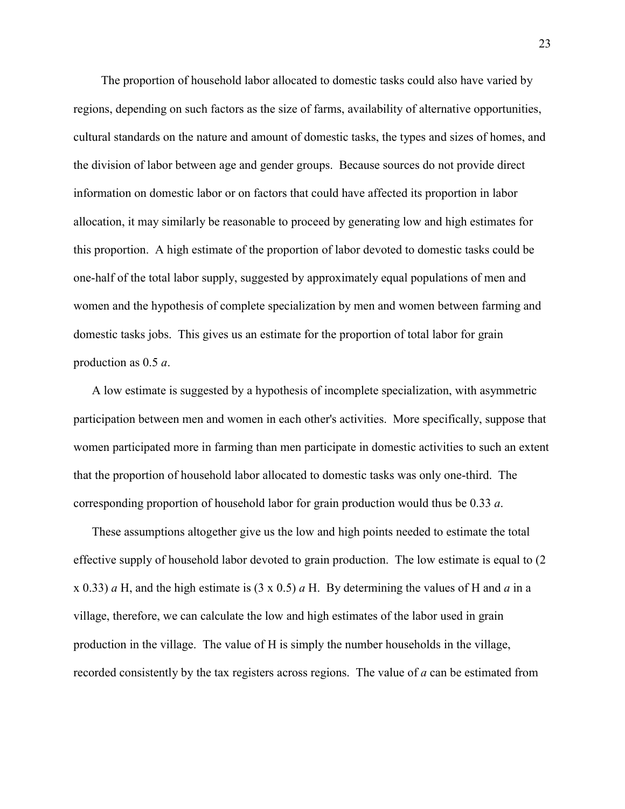The proportion of household labor allocated to domestic tasks could also have varied by regions, depending on such factors as the size of farms, availability of alternative opportunities, cultural standards on the nature and amount of domestic tasks, the types and sizes of homes, and the division of labor between age and gender groups. Because sources do not provide direct information on domestic labor or on factors that could have affected its proportion in labor allocation, it may similarly be reasonable to proceed by generating low and high estimates for this proportion. A high estimate of the proportion of labor devoted to domestic tasks could be one-half of the total labor supply, suggested by approximately equal populations of men and women and the hypothesis of complete specialization by men and women between farming and domestic tasks jobs. This gives us an estimate for the proportion of total labor for grain production as 0.5 *a*.

A low estimate is suggested by a hypothesis of incomplete specialization, with asymmetric participation between men and women in each other's activities. More specifically, suppose that women participated more in farming than men participate in domestic activities to such an extent that the proportion of household labor allocated to domestic tasks was only one-third. The corresponding proportion of household labor for grain production would thus be 0.33 *a*.

These assumptions altogether give us the low and high points needed to estimate the total effective supply of household labor devoted to grain production. The low estimate is equal to (2 x 0.33) *a* H, and the high estimate is  $(3 \times 0.5)$  *a* H. By determining the values of H and *a* in a village, therefore, we can calculate the low and high estimates of the labor used in grain production in the village. The value of H is simply the number households in the village, recorded consistently by the tax registers across regions. The value of *a* can be estimated from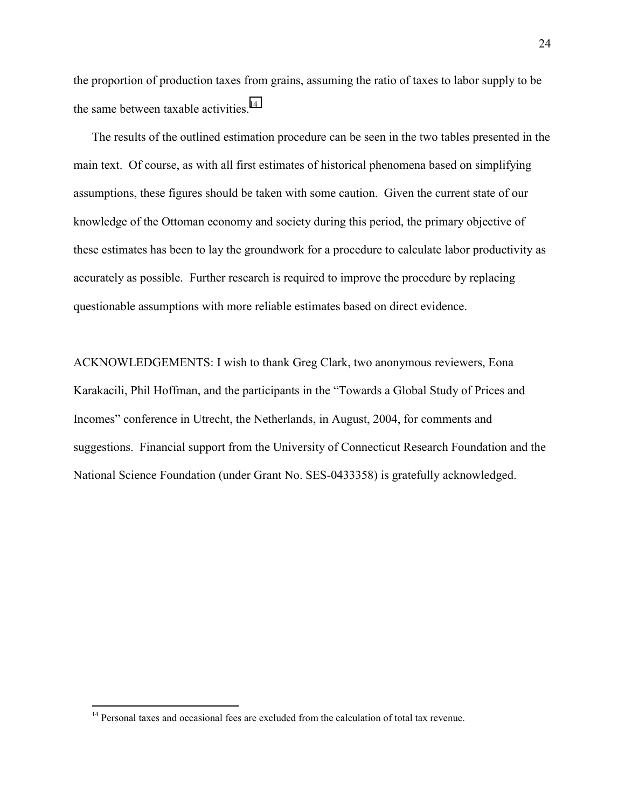the proportion of production taxes from grains, assuming the ratio of taxes to labor supply to be the same between taxable activities. $14$ 

The results of the outlined estimation procedure can be seen in the two tables presented in the main text. Of course, as with all first estimates of historical phenomena based on simplifying assumptions, these figures should be taken with some caution. Given the current state of our knowledge of the Ottoman economy and society during this period, the primary objective of these estimates has been to lay the groundwork for a procedure to calculate labor productivity as accurately as possible. Further research is required to improve the procedure by replacing questionable assumptions with more reliable estimates based on direct evidence.

ACKNOWLEDGEMENTS: I wish to thank Greg Clark, two anonymous reviewers, Eona Karakacili, Phil Hoffman, and the participants in the "Towards a Global Study of Prices and Incomes" conference in Utrecht, the Netherlands, in August, 2004, for comments and suggestions. Financial support from the University of Connecticut Research Foundation and the National Science Foundation (under Grant No. SES-0433358) is gratefully acknowledged.

 $14$  Personal taxes and occasional fees are excluded from the calculation of total tax revenue.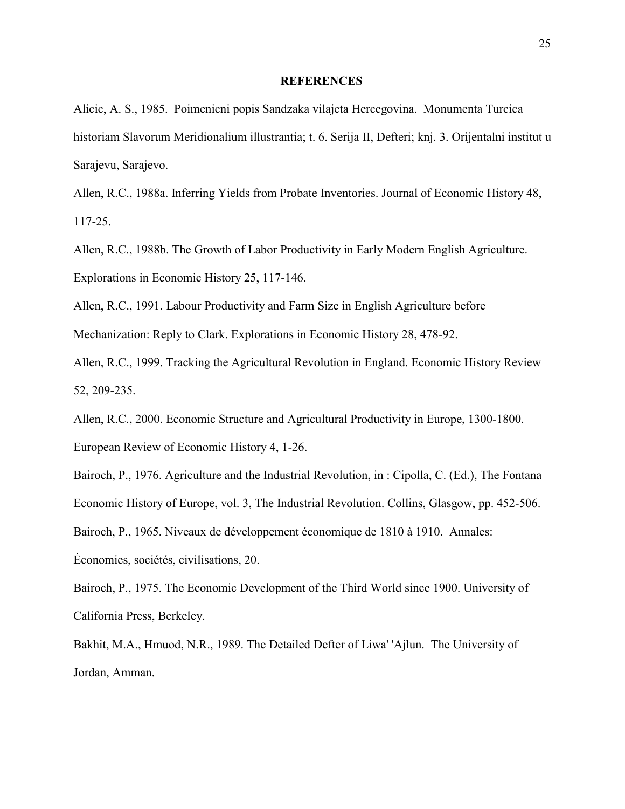#### **REFERENCES**

Alicic, A. S., 1985. Poimenicni popis Sandzaka vilajeta Hercegovina. Monumenta Turcica historiam Slavorum Meridionalium illustrantia; t. 6. Serija II, Defteri; knj. 3. Orijentalni institut u Sarajevu, Sarajevo.

Allen, R.C., 1988a. Inferring Yields from Probate Inventories. Journal of Economic History 48, 117-25.

Allen, R.C., 1988b. The Growth of Labor Productivity in Early Modern English Agriculture. Explorations in Economic History 25, 117-146.

Allen, R.C., 1991. Labour Productivity and Farm Size in English Agriculture before

Mechanization: Reply to Clark. Explorations in Economic History 28, 478-92.

Allen, R.C., 1999. Tracking the Agricultural Revolution in England. Economic History Review 52, 209-235.

Allen, R.C., 2000. Economic Structure and Agricultural Productivity in Europe, 1300-1800. European Review of Economic History 4, 1-26.

Bairoch, P., 1976. Agriculture and the Industrial Revolution, in : Cipolla, C. (Ed.), The Fontana Economic History of Europe, vol. 3, The Industrial Revolution. Collins, Glasgow, pp. 452-506.

Bairoch, P., 1965. Niveaux de développement économique de 1810 à 1910. Annales:

Économies, sociétés, civilisations, 20.

Bairoch, P., 1975. The Economic Development of the Third World since 1900. University of California Press, Berkeley.

Bakhit, M.A., Hmuod, N.R., 1989. The Detailed Defter of Liwa' 'Ajlun. The University of Jordan, Amman.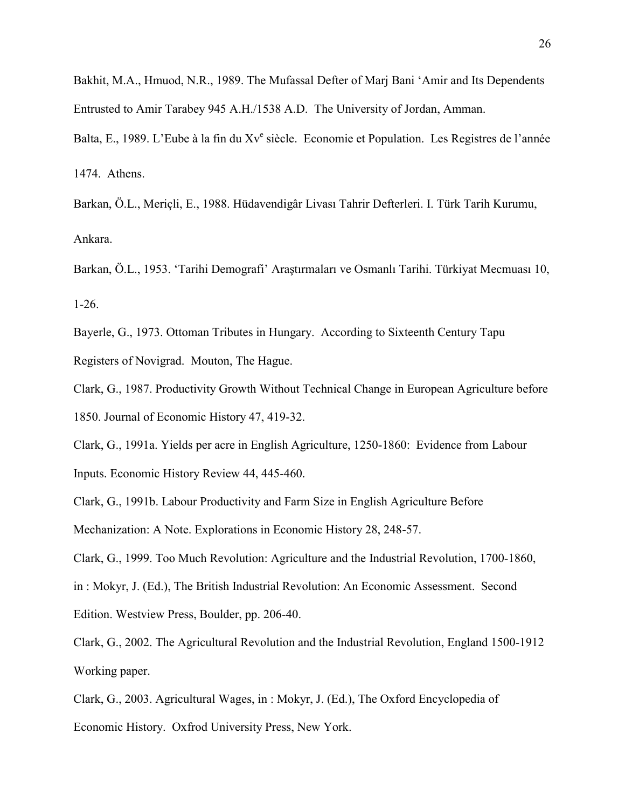Bakhit, M.A., Hmuod, N.R., 1989. The Mufassal Defter of Marj Bani 'Amir and Its Dependents Entrusted to Amir Tarabey 945 A.H./1538 A.D. The University of Jordan, Amman.

Balta, E., 1989. L'Eube à la fin du Xv<sup>e</sup> siècle. Economie et Population. Les Registres de l'année 1474. Athens.

Barkan, Ö.L., Meriçli, E., 1988. Hüdavendigâr Livası Tahrir Defterleri. I. Türk Tarih Kurumu, Ankara.

Barkan, Ö.L., 1953. 'Tarihi Demografi' Araştırmaları ve Osmanlı Tarihi. Türkiyat Mecmuası 10, 1-26.

Bayerle, G., 1973. Ottoman Tributes in Hungary. According to Sixteenth Century Tapu Registers of Novigrad. Mouton, The Hague.

Clark, G., 1987. Productivity Growth Without Technical Change in European Agriculture before 1850. Journal of Economic History 47, 419-32.

Clark, G., 1991a. Yields per acre in English Agriculture, 1250-1860: Evidence from Labour Inputs. Economic History Review 44, 445-460.

Clark, G., 1991b. Labour Productivity and Farm Size in English Agriculture Before

Mechanization: A Note. Explorations in Economic History 28, 248-57.

Clark, G., 1999. Too Much Revolution: Agriculture and the Industrial Revolution, 1700-1860,

in : Mokyr, J. (Ed.), The British Industrial Revolution: An Economic Assessment. Second Edition. Westview Press, Boulder, pp. 206-40.

Clark, G., 2002. The Agricultural Revolution and the Industrial Revolution, England 1500-1912 Working paper.

Clark, G., 2003. Agricultural Wages, in : Mokyr, J. (Ed.), The Oxford Encyclopedia of Economic History. Oxfrod University Press, New York.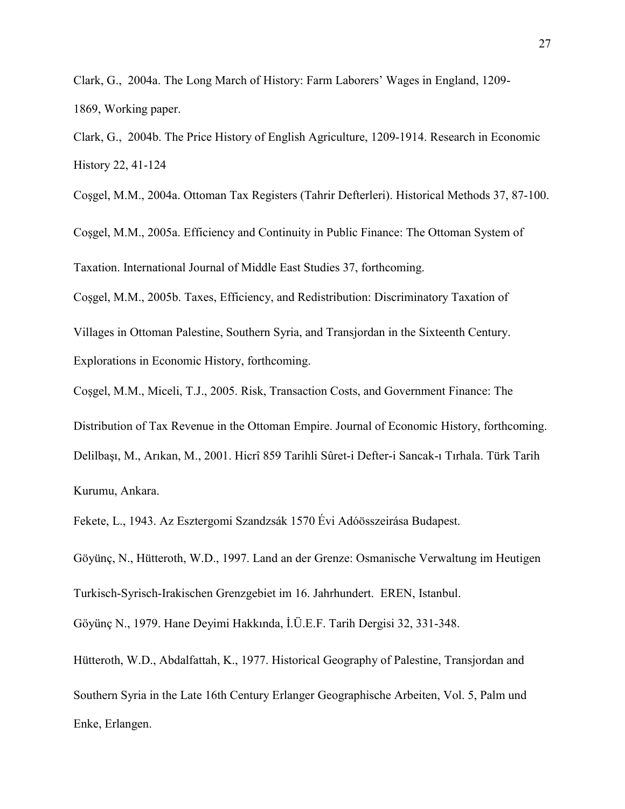Clark, G., 2004a. The Long March of History: Farm Laborers' Wages in England, 1209- 1869, Working paper.

Clark, G., 2004b. The Price History of English Agriculture, 1209-1914. Research in Economic History 22, 41-124

Coşgel, M.M., 2004a. Ottoman Tax Registers (Tahrir Defterleri). Historical Methods 37, 87-100.

Coşgel, M.M., 2005a. Efficiency and Continuity in Public Finance: The Ottoman System of Taxation. International Journal of Middle East Studies 37, forthcoming.

Coşgel, M.M., 2005b. Taxes, Efficiency, and Redistribution: Discriminatory Taxation of

Villages in Ottoman Palestine, Southern Syria, and Transjordan in the Sixteenth Century. Explorations in Economic History, forthcoming.

Coşgel, M.M., Miceli, T.J., 2005. Risk, Transaction Costs, and Government Finance: The

Distribution of Tax Revenue in the Ottoman Empire. Journal of Economic History, forthcoming.

Delilbaşı, M., Arıkan, M., 2001. Hicrî 859 Tarihli Sûret-i Defter-i Sancak-ı Tırhala. Türk Tarih

Kurumu, Ankara.

Fekete, L., 1943. Az Esztergomi Szandzsák 1570 Évi Adóösszeirása Budapest.

Göyünç, N., Hütteroth, W.D., 1997. Land an der Grenze: Osmanische Verwaltung im Heutigen Turkisch-Syrisch-Irakischen Grenzgebiet im 16. Jahrhundert. EREN, Istanbul.

Göyünç N., 1979. Hane Deyimi Hakkında, İ.Ü.E.F. Tarih Dergisi 32, 331-348.

Hütteroth, W.D., Abdalfattah, K., 1977. Historical Geography of Palestine, Transjordan and Southern Syria in the Late 16th Century Erlanger Geographische Arbeiten, Vol. 5, Palm und Enke, Erlangen.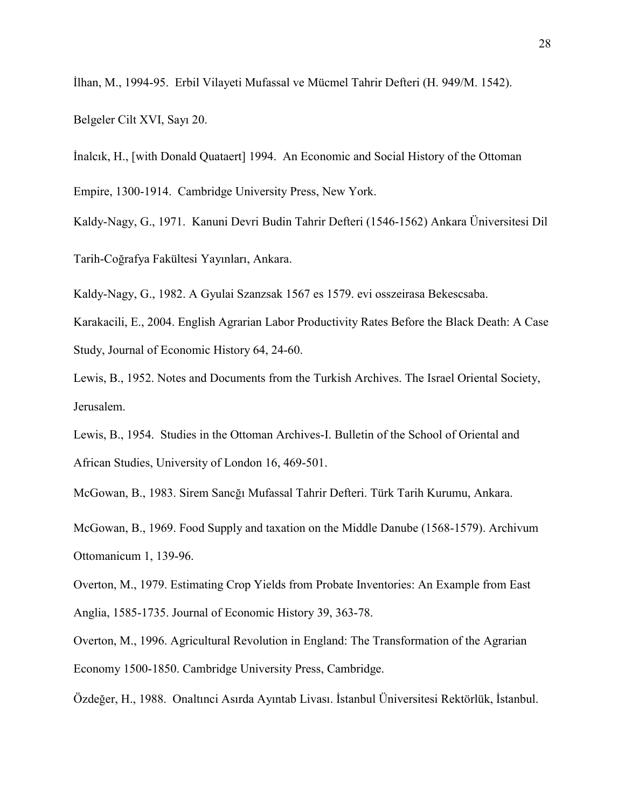¯lhan, M., 1994-95. Erbil Vilayeti Mufassal ve Mücmel Tahrir Defteri (H. 949/M. 1542).

Belgeler Cilt XVI, Sayı 20.

¯nalcık, H., [with Donald Quataert] 1994. An Economic and Social History of the Ottoman

Empire, 1300-1914. Cambridge University Press, New York.

Kaldy-Nagy, G., 1971. Kanuni Devri Budin Tahrir Defteri (1546-1562) Ankara Üniversitesi Dil

Tarih-Coğrafya Fakültesi Yayınları, Ankara.

Kaldy-Nagy, G., 1982. A Gyulai Szanzsak 1567 es 1579. evi osszeirasa Bekescsaba.

Karakacili, E., 2004. English Agrarian Labor Productivity Rates Before the Black Death: A Case Study, Journal of Economic History 64, 24-60.

Lewis, B., 1952. Notes and Documents from the Turkish Archives. The Israel Oriental Society, Jerusalem.

Lewis, B., 1954. Studies in the Ottoman Archives-I. Bulletin of the School of Oriental and African Studies, University of London 16, 469-501.

McGowan, B., 1983. Sirem Sancğı Mufassal Tahrir Defteri. Türk Tarih Kurumu, Ankara.

McGowan, B., 1969. Food Supply and taxation on the Middle Danube (1568-1579). Archivum Ottomanicum 1, 139-96.

Overton, M., 1979. Estimating Crop Yields from Probate Inventories: An Example from East Anglia, 1585-1735. Journal of Economic History 39, 363-78.

Overton, M., 1996. Agricultural Revolution in England: The Transformation of the Agrarian Economy 1500-1850. Cambridge University Press, Cambridge.

Özdeğer, H., 1988. Onaltınci Asırda Ayıntab Livası. İstanbul Üniversitesi Rektörlük, İstanbul.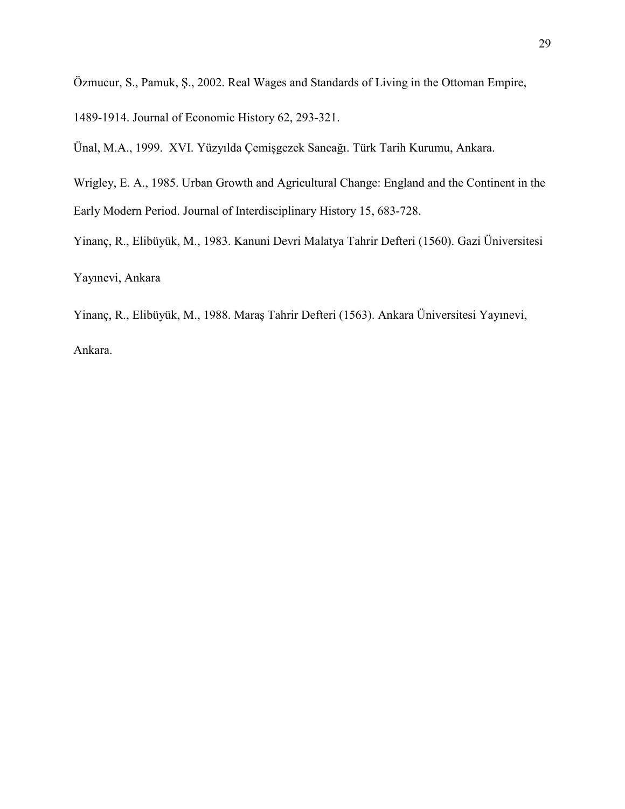Özmucur, S., Pamuk, Ş., 2002. Real Wages and Standards of Living in the Ottoman Empire,

1489-1914. Journal of Economic History 62, 293-321.

Ünal, M.A., 1999. XVI. Yüzyılda Çemişgezek Sancağı. Türk Tarih Kurumu, Ankara.

Wrigley, E. A., 1985. Urban Growth and Agricultural Change: England and the Continent in the Early Modern Period. Journal of Interdisciplinary History 15, 683-728.

Yinanç, R., Elibüyük, M., 1983. Kanuni Devri Malatya Tahrir Defteri (1560). Gazi Üniversitesi

Yayınevi, Ankara

Yinanç, R., Elibüyük, M., 1988. Maraş Tahrir Defteri (1563). Ankara Üniversitesi Yayınevi, Ankara.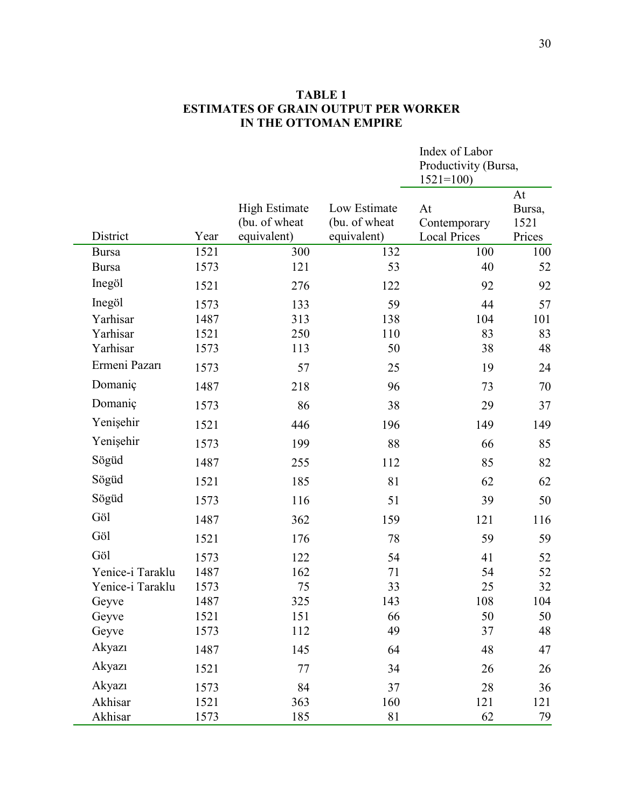### **TABLE 1 ESTIMATES OF GRAIN OUTPUT PER WORKER IN THE OTTOMAN EMPIRE**

|                  |      |                                                      |                                              | Index of Labor<br>Productivity (Bursa,<br>$1521 = 100$ |                                |
|------------------|------|------------------------------------------------------|----------------------------------------------|--------------------------------------------------------|--------------------------------|
| District         | Year | <b>High Estimate</b><br>(bu. of wheat<br>equivalent) | Low Estimate<br>(bu. of wheat<br>equivalent) | At<br>Contemporary<br><b>Local Prices</b>              | At<br>Bursa,<br>1521<br>Prices |
| <b>Bursa</b>     | 1521 | 300                                                  | 132                                          | 100                                                    | 100                            |
| <b>Bursa</b>     | 1573 | 121                                                  | 53                                           | 40                                                     | 52                             |
| Inegöl           | 1521 | 276                                                  | 122                                          | 92                                                     | 92                             |
| Inegöl           | 1573 | 133                                                  | 59                                           | 44                                                     | 57                             |
| Yarhisar         | 1487 | 313                                                  | 138                                          | 104                                                    | 101                            |
| Yarhisar         | 1521 | 250                                                  | 110                                          | 83                                                     | 83                             |
| Yarhisar         | 1573 | 113                                                  | 50                                           | 38                                                     | 48                             |
| Ermeni Pazarı    | 1573 | 57                                                   | 25                                           | 19                                                     | 24                             |
| Domaniç          | 1487 | 218                                                  | 96                                           | 73                                                     | 70                             |
| Domaniç          | 1573 | 86                                                   | 38                                           | 29                                                     | 37                             |
| Yenişehir        | 1521 | 446                                                  | 196                                          | 149                                                    | 149                            |
| Yenişehir        | 1573 | 199                                                  | 88                                           | 66                                                     | 85                             |
| Sögüd            | 1487 | 255                                                  | 112                                          | 85                                                     | 82                             |
| Sögüd            | 1521 | 185                                                  | 81                                           | 62                                                     | 62                             |
| Sögüd            | 1573 | 116                                                  | 51                                           | 39                                                     | 50                             |
| Göl              | 1487 | 362                                                  | 159                                          | 121                                                    | 116                            |
| Göl              | 1521 | 176                                                  | 78                                           | 59                                                     | 59                             |
| Göl              | 1573 | 122                                                  | 54                                           | 41                                                     | 52                             |
| Yenice-i Taraklu | 1487 | 162                                                  | 71                                           | 54                                                     | 52                             |
| Yenice-i Taraklu | 1573 | 75                                                   | 33                                           | 25                                                     | 32                             |
| Geyve            | 1487 | 325                                                  | 143                                          | 108                                                    | 104                            |
| Geyve            | 1521 | 151                                                  | 66                                           | 50                                                     | 50                             |
| Geyve            | 1573 | 112                                                  | 49                                           | 37                                                     | 48                             |
| Akyazı           | 1487 | 145                                                  | 64                                           | 48                                                     | 47                             |
| Akyazı           | 1521 | 77                                                   | 34                                           | 26                                                     | 26                             |
| Akyazı           | 1573 | 84                                                   | 37                                           | 28                                                     | 36                             |
| Akhisar          | 1521 | 363                                                  | 160                                          | 121                                                    | 121                            |
| Akhisar          | 1573 | 185                                                  | 81                                           | 62                                                     | 79                             |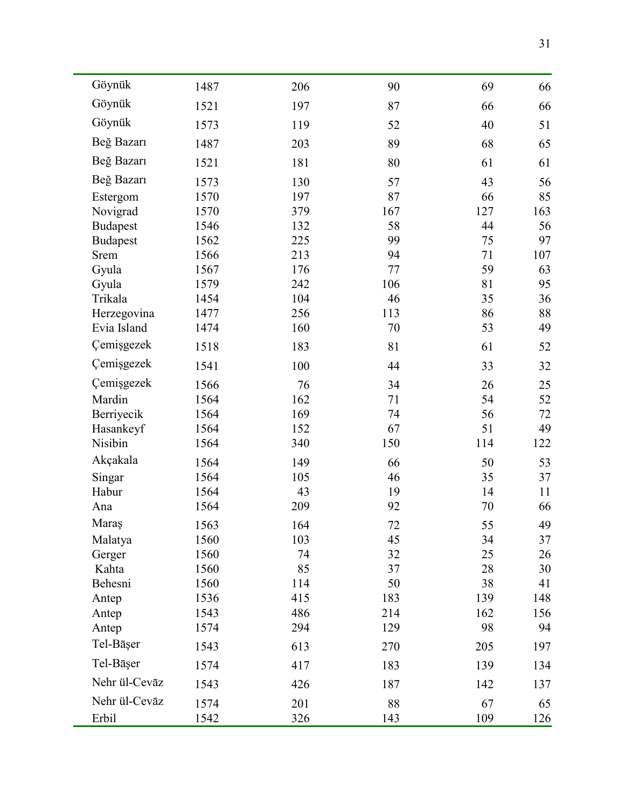| Göynük          | 1487 | 206 | 90  | 69  | 66  |
|-----------------|------|-----|-----|-----|-----|
| Göynük          | 1521 | 197 | 87  | 66  | 66  |
| Göynük          | 1573 | 119 | 52  | 40  | 51  |
| Beğ Bazarı      | 1487 | 203 | 89  | 68  | 65  |
| Beğ Bazarı      | 1521 | 181 | 80  | 61  | 61  |
| Beğ Bazarı      | 1573 | 130 | 57  | 43  | 56  |
| Estergom        | 1570 | 197 | 87  | 66  | 85  |
| Novigrad        | 1570 | 379 | 167 | 127 | 163 |
| <b>Budapest</b> | 1546 | 132 | 58  | 44  | 56  |
| <b>Budapest</b> | 1562 | 225 | 99  | 75  | 97  |
| Srem            | 1566 | 213 | 94  | 71  | 107 |
| Gyula           | 1567 | 176 | 77  | 59  | 63  |
| Gyula           | 1579 | 242 | 106 | 81  | 95  |
| Trikala         | 1454 | 104 | 46  | 35  | 36  |
| Herzegovina     | 1477 | 256 | 113 | 86  | 88  |
| Evia Island     | 1474 | 160 | 70  | 53  | 49  |
| Cemişgezek      | 1518 | 183 | 81  | 61  | 52  |
| Çemişgezek      | 1541 | 100 | 44  | 33  | 32  |
| Çemişgezek      | 1566 | 76  | 34  | 26  | 25  |
| Mardin          | 1564 | 162 | 71  | 54  | 52  |
| Berriyecik      | 1564 | 169 | 74  | 56  | 72  |
| Hasankeyf       | 1564 | 152 | 67  | 51  | 49  |
| Nisibin         | 1564 | 340 | 150 | 114 | 122 |
| Akçakala        | 1564 | 149 | 66  | 50  | 53  |
| Singar          | 1564 | 105 | 46  | 35  | 37  |
| Habur           | 1564 | 43  | 19  | 14  | 11  |
| Ana             | 1564 | 209 | 92  | 70  | 66  |
| Maraș           | 1563 | 164 | 72  | 55  | 49  |
| Malatya         | 1560 | 103 | 45  | 34  | 37  |
| Gerger          | 1560 | 74  | 32  | 25  | 26  |
| Kahta           | 1560 | 85  | 37  | 28  | 30  |
| Behesni         | 1560 | 114 | 50  | 38  | 41  |
| Antep           | 1536 | 415 | 183 | 139 | 148 |
| Antep           | 1543 | 486 | 214 | 162 | 156 |
| Antep           | 1574 | 294 | 129 | 98  | 94  |
| Tel-Bāșer       | 1543 | 613 | 270 | 205 | 197 |
| Tel-Bāşer       | 1574 | 417 | 183 | 139 | 134 |
| Nehr ül-Cevāz   | 1543 | 426 | 187 | 142 | 137 |
| Nehr ül-Cevāz   | 1574 | 201 | 88  | 67  | 65  |
| Erbil           | 1542 | 326 | 143 | 109 | 126 |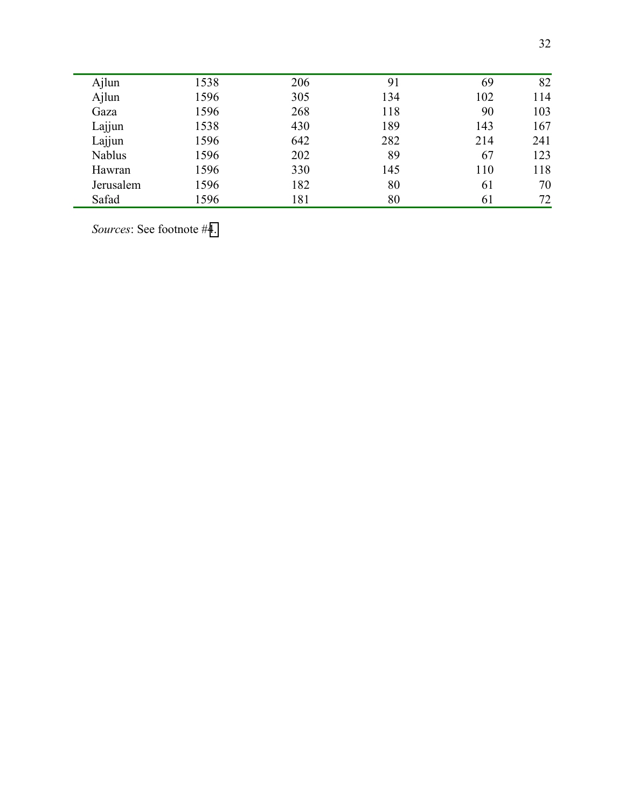| Ajlun         | 1538 | 206 | 91  | 69  | 82  |
|---------------|------|-----|-----|-----|-----|
| Ajlun         | 1596 | 305 | 134 | 102 | 114 |
| Gaza          | 1596 | 268 | 118 | 90  | 103 |
| Lajjun        | 1538 | 430 | 189 | 143 | 167 |
| Lajjun        | 1596 | 642 | 282 | 214 | 241 |
| <b>Nablus</b> | 1596 | 202 | 89  | 67  | 123 |
| Hawran        | 1596 | 330 | 145 | 110 | 118 |
| Jerusalem     | 1596 | 182 | 80  | 61  | 70  |
| Safad         | 1596 | 181 | 80  | 61  | 72  |
|               |      |     |     |     |     |

*Sources*: See footnote #[4.](#page-6-0)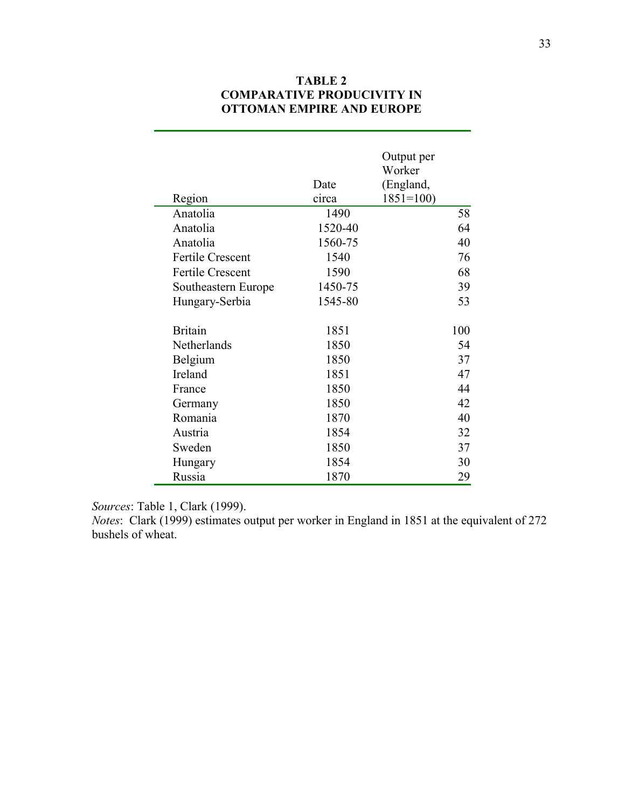## **TABLE 2 COMPARATIVE PRODUCIVITY IN OTTOMAN EMPIRE AND EUROPE**

|                         |         | Output per<br>Worker |
|-------------------------|---------|----------------------|
|                         | Date    | (England,            |
| Region                  | circa   | $1851 = 100$         |
| Anatolia                | 1490    | 58                   |
| Anatolia                | 1520-40 | 64                   |
| Anatolia                | 1560-75 | 40                   |
| <b>Fertile Crescent</b> | 1540    | 76                   |
| <b>Fertile Crescent</b> | 1590    | 68                   |
| Southeastern Europe     | 1450-75 | 39                   |
| Hungary-Serbia          | 1545-80 | 53                   |
| <b>Britain</b>          | 1851    | 100                  |
| Netherlands             | 1850    | 54                   |
| Belgium                 | 1850    | 37                   |
| Ireland                 | 1851    | 47                   |
| France                  | 1850    | 44                   |
| Germany                 | 1850    | 42                   |
| Romania                 | 1870    | 40                   |
| Austria                 | 1854    | 32                   |
| Sweden                  | 1850    | 37                   |
| Hungary                 | 1854    | 30                   |
| Russia                  | 1870    | 29                   |

*Sources*: Table 1, Clark (1999).

*Notes*: Clark (1999) estimates output per worker in England in 1851 at the equivalent of 272 bushels of wheat.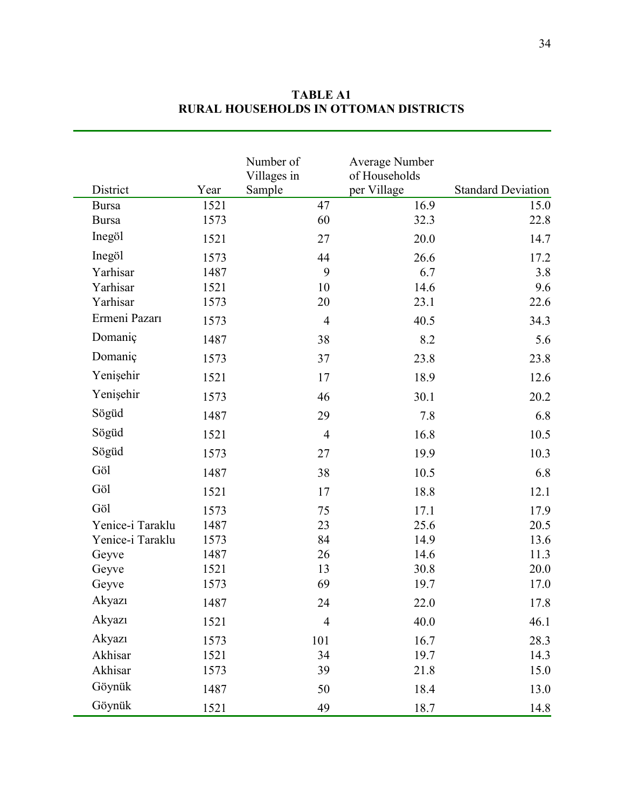| District         | Year | Number of<br>Villages in<br>Sample |                | Average Number<br>of Households<br>per Village | <b>Standard Deviation</b> |
|------------------|------|------------------------------------|----------------|------------------------------------------------|---------------------------|
| <b>Bursa</b>     | 1521 |                                    | 47             | 16.9                                           | 15.0                      |
| <b>Bursa</b>     | 1573 |                                    | 60             | 32.3                                           | 22.8                      |
| Inegöl           | 1521 |                                    | 27             | 20.0                                           | 14.7                      |
| Inegöl           | 1573 |                                    | 44             | 26.6                                           | 17.2                      |
| Yarhisar         | 1487 |                                    | 9              | 6.7                                            | 3.8                       |
| Yarhisar         | 1521 |                                    | 10             | 14.6                                           | 9.6                       |
| Yarhisar         | 1573 |                                    | 20             | 23.1                                           | 22.6                      |
| Ermeni Pazarı    | 1573 |                                    | $\overline{4}$ | 40.5                                           | 34.3                      |
| Domaniç          | 1487 |                                    | 38             | 8.2                                            | 5.6                       |
| Domaniç          | 1573 |                                    | 37             | 23.8                                           | 23.8                      |
| Yenişehir        | 1521 |                                    | 17             | 18.9                                           | 12.6                      |
| Yenişehir        | 1573 |                                    | 46             | 30.1                                           | 20.2                      |
| Sögüd            | 1487 |                                    | 29             | 7.8                                            | 6.8                       |
| Sögüd            | 1521 |                                    | $\overline{4}$ | 16.8                                           | 10.5                      |
| Sögüd            | 1573 |                                    | 27             | 19.9                                           | 10.3                      |
| Göl              | 1487 |                                    | 38             | 10.5                                           | 6.8                       |
| Göl              | 1521 |                                    | 17             | 18.8                                           | 12.1                      |
| Göl              | 1573 |                                    | 75             | 17.1                                           | 17.9                      |
| Yenice-i Taraklu | 1487 |                                    | 23             | 25.6                                           | 20.5                      |
| Yenice-i Taraklu | 1573 |                                    | 84             | 14.9                                           | 13.6                      |
| Geyve            | 1487 |                                    | 26             | 14.6                                           | 11.3                      |
| Geyve            | 1521 |                                    | 13             | 30.8                                           | 20.0                      |
| Geyve            | 1573 |                                    | 69             | 19.7                                           | 17.0                      |
| Akyazı           | 1487 |                                    | 24             | 22.0                                           | 17.8                      |
| Akyazı           | 1521 |                                    | $\overline{4}$ | 40.0                                           | 46.1                      |
| Akyazı           | 1573 |                                    | 101            | 16.7                                           | 28.3                      |
| Akhisar          | 1521 |                                    | 34             | 19.7                                           | 14.3                      |
| Akhisar          | 1573 |                                    | 39             | 21.8                                           | 15.0                      |
| Göynük           | 1487 |                                    | 50             | 18.4                                           | 13.0                      |
| Göynük           | 1521 |                                    | 49             | 18.7                                           | 14.8                      |

**TABLE A1 RURAL HOUSEHOLDS IN OTTOMAN DISTRICTS**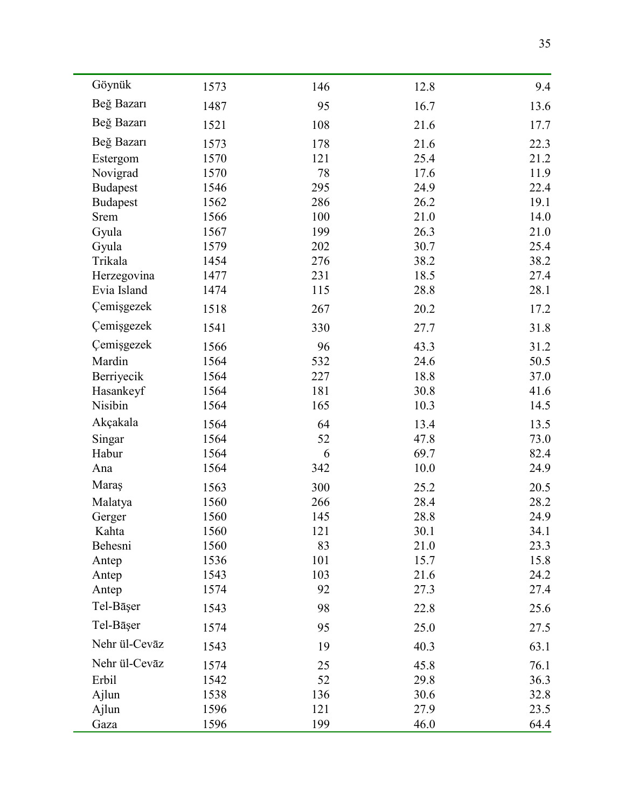| Göynük          | 1573 | 146 | 12.8   | 9.4  |
|-----------------|------|-----|--------|------|
| Beğ Bazarı      | 1487 | 95  | 16.7   | 13.6 |
| Beğ Bazarı      | 1521 | 108 | 21.6   | 17.7 |
| Beğ Bazarı      | 1573 | 178 | 21.6   | 22.3 |
| Estergom        | 1570 | 121 | 25.4   | 21.2 |
| Novigrad        | 1570 | 78  | 17.6   | 11.9 |
| <b>Budapest</b> | 1546 | 295 | 24.9   | 22.4 |
| <b>Budapest</b> | 1562 | 286 | 26.2   | 19.1 |
| Srem            | 1566 | 100 | 21.0   | 14.0 |
| Gyula           | 1567 | 199 | 26.3   | 21.0 |
| Gyula           | 1579 | 202 | 30.7   | 25.4 |
| Trikala         | 1454 | 276 | 38.2   | 38.2 |
| Herzegovina     | 1477 | 231 | 18.5   | 27.4 |
| Evia Island     | 1474 | 115 | 28.8   | 28.1 |
| Çemişgezek      | 1518 | 267 | 20.2   | 17.2 |
| Cemişgezek      | 1541 | 330 | 27.7   | 31.8 |
| Cemişgezek      | 1566 | 96  | 43.3   | 31.2 |
| Mardin          | 1564 | 532 | 24.6   | 50.5 |
| Berriyecik      | 1564 | 227 | 18.8   | 37.0 |
| Hasankeyf       | 1564 | 181 | 30.8   | 41.6 |
| Nisibin         | 1564 | 165 | 10.3   | 14.5 |
| Akçakala        | 1564 | 64  | 13.4   | 13.5 |
| Singar          | 1564 | 52  | 47.8   | 73.0 |
| Habur           | 1564 | 6   | 69.7   | 82.4 |
| Ana             | 1564 | 342 | $10.0$ | 24.9 |
| Maraş           | 1563 | 300 | 25.2   | 20.5 |
| Malatya         | 1560 | 266 | 28.4   | 28.2 |
| Gerger          | 1560 | 145 | 28.8   | 24.9 |
| Kahta           | 1560 | 121 | 30.1   | 34.1 |
| Behesni         | 1560 | 83  | 21.0   | 23.3 |
| Antep           | 1536 | 101 | 15.7   | 15.8 |
| Antep           | 1543 | 103 | 21.6   | 24.2 |
| Antep           | 1574 | 92  | 27.3   | 27.4 |
| Tel-Bāşer       | 1543 | 98  | 22.8   | 25.6 |
| Tel-Bāşer       | 1574 | 95  | 25.0   | 27.5 |
| Nehr ül-Cevāz   | 1543 | 19  | 40.3   | 63.1 |
| Nehr ül-Cevāz   | 1574 | 25  | 45.8   | 76.1 |
| Erbil           | 1542 | 52  | 29.8   | 36.3 |
| Ajlun           | 1538 | 136 | 30.6   | 32.8 |
| Ajlun           | 1596 | 121 | 27.9   | 23.5 |
| Gaza            | 1596 | 199 | 46.0   | 64.4 |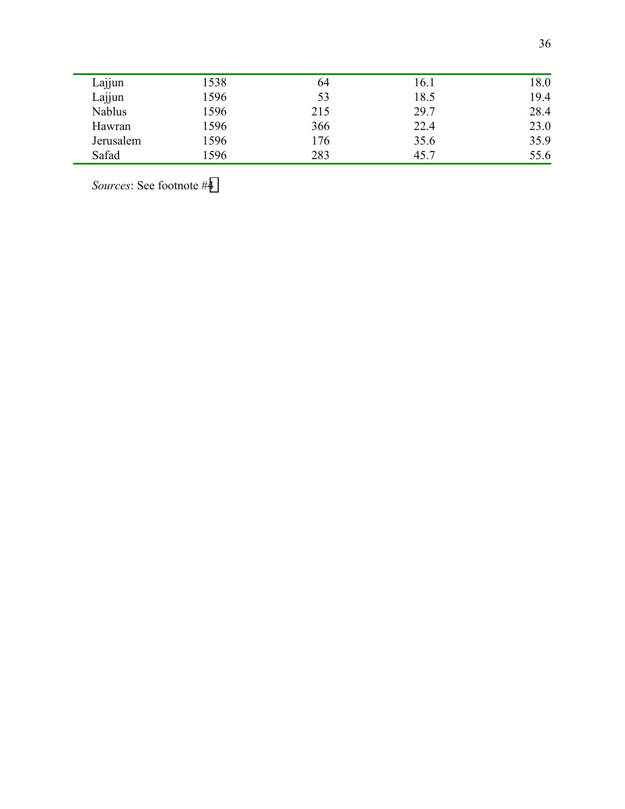| Lajjun        | 1538 | 64  | 16.1 | 18.0 |
|---------------|------|-----|------|------|
| Lajjun        | 1596 | 53  | 18.5 | 19.4 |
| <b>Nablus</b> | 1596 | 215 | 29.7 | 28.4 |
| Hawran        | 1596 | 366 | 22.4 | 23.0 |
| Jerusalem     | 1596 | 176 | 35.6 | 35.9 |
| Safad         | 1596 | 283 | 45.7 | 55.6 |

*Sources*: See footnote #[4](#page-6-0)